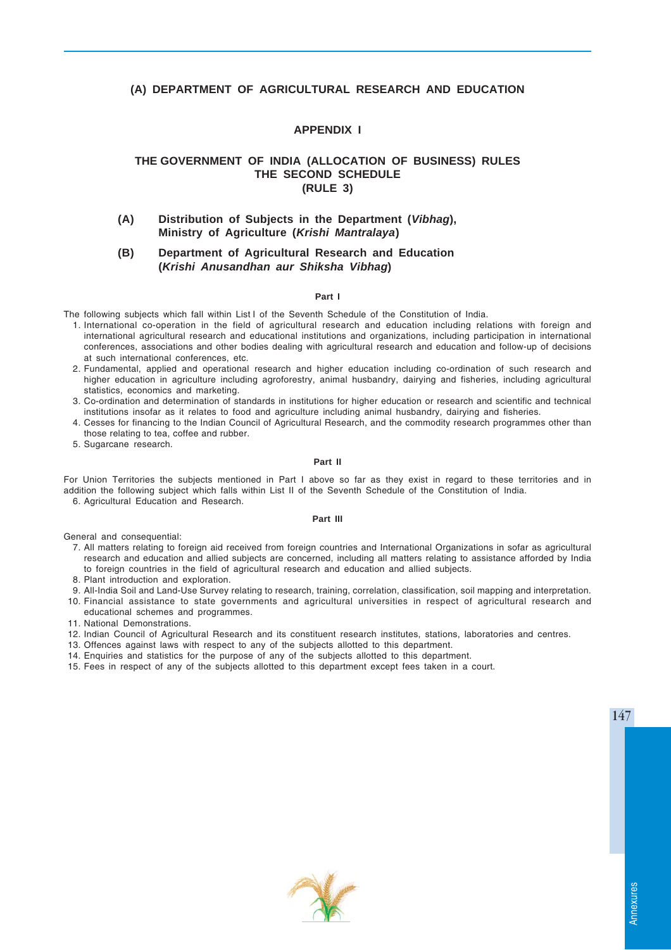# **(A) DEPARTMENT OF AGRICULTURAL RESEARCH AND EDUCATION**

# **APPENDIX I**

# **THE GOVERNMENT OF INDIA (ALLOCATION OF BUSINESS) RULES THE SECOND SCHEDULE (RULE 3)**

**(A) Distribution of Subjects in the Department (***Vibhag***), Ministry of Agriculture (***Krishi Mantralaya***)**

# **(B) Department of Agricultural Research and Education (***Krishi Anusandhan aur Shiksha Vibhag***)**

### **Part I**

The following subjects which fall within List I of the Seventh Schedule of the Constitution of India.

- 1. International co-operation in the field of agricultural research and education including relations with foreign and international agricultural research and educational institutions and organizations, including participation in international conferences, associations and other bodies dealing with agricultural research and education and follow-up of decisions at such international conferences, etc.
- 2. Fundamental, applied and operational research and higher education including co-ordination of such research and higher education in agriculture including agroforestry, animal husbandry, dairying and fisheries, including agricultural statistics, economics and marketing.
- 3. Co-ordination and determination of standards in institutions for higher education or research and scientific and technical institutions insofar as it relates to food and agriculture including animal husbandry, dairying and fisheries.
- 4. Cesses for financing to the Indian Council of Agricultural Research, and the commodity research programmes other than those relating to tea, coffee and rubber.
- 5. Sugarcane research.

### **Part II**

For Union Territories the subjects mentioned in Part I above so far as they exist in regard to these territories and in addition the following subject which falls within List II of the Seventh Schedule of the Constitution of India.

6. Agricultural Education and Research.

#### **Part III**

General and consequential:

- 7. All matters relating to foreign aid received from foreign countries and International Organizations in sofar as agricultural research and education and allied subjects are concerned, including all matters relating to assistance afforded by India to foreign countries in the field of agricultural research and education and allied subjects.
- 8. Plant introduction and exploration.
- 9. All-India Soil and Land-Use Survey relating to research, training, correlation, classification, soil mapping and interpretation. 10. Financial assistance to state governments and agricultural universities in respect of agricultural research and
- educational schemes and programmes.
- 11. National Demonstrations.
- 12. Indian Council of Agricultural Research and its constituent research institutes, stations, laboratories and centres.
- 13. Offences against laws with respect to any of the subjects allotted to this department.
- 14. Enquiries and statistics for the purpose of any of the subjects allotted to this department.
- 
- 15. Fees in respect of any of the subjects allotted to this department except fees taken in a court.



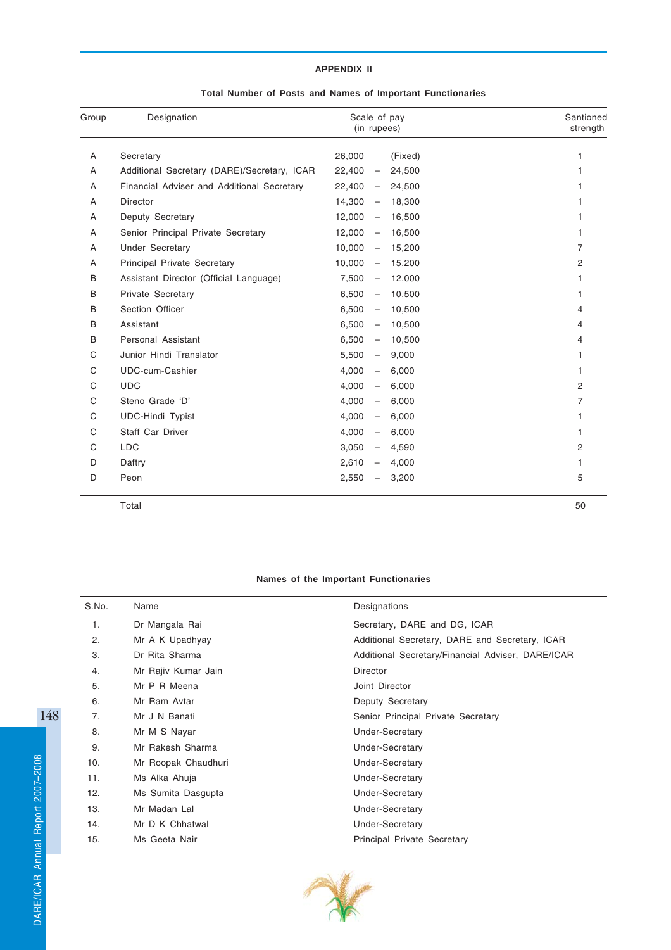# **APPENDIX II**

|  |  |  |  |  |  |  |  | Total Number of Posts and Names of Important Functionaries |
|--|--|--|--|--|--|--|--|------------------------------------------------------------|
|--|--|--|--|--|--|--|--|------------------------------------------------------------|

| Group | Designation                                 | Scale of pay<br>(in rupees)                  | Santioned<br>strength |
|-------|---------------------------------------------|----------------------------------------------|-----------------------|
| A     | Secretary                                   | 26,000<br>(Fixed)                            | 1                     |
| A     | Additional Secretary (DARE)/Secretary, ICAR | 22,400<br>24,500<br>$\overline{\phantom{m}}$ |                       |
| A     | Financial Adviser and Additional Secretary  | 22,400<br>24,500<br>$\overline{\phantom{m}}$ |                       |
| A     | <b>Director</b>                             | 14,300<br>18,300<br>$\overline{\phantom{m}}$ |                       |
| A     | Deputy Secretary                            | 12,000<br>16,500<br>$\overline{\phantom{m}}$ |                       |
| A     | Senior Principal Private Secretary          | 12,000<br>16,500<br>$\qquad \qquad -$        | 1                     |
| A     | <b>Under Secretary</b>                      | 10,000<br>15,200<br>$\overline{\phantom{0}}$ | 7                     |
| A     | Principal Private Secretary                 | 10,000<br>15,200<br>$\overline{\phantom{m}}$ | 2                     |
| В     | Assistant Director (Official Language)      | 7,500<br>12,000<br>$\overline{\phantom{m}}$  | 1                     |
| B     | Private Secretary                           | 6,500<br>10,500<br>$\qquad \qquad -$         | 1                     |
| В     | Section Officer                             | 6,500<br>10,500<br>$\qquad \qquad -$         | 4                     |
| В     | Assistant                                   | 6,500<br>10,500<br>$\qquad \qquad -$         | 4                     |
| B     | Personal Assistant                          | 6,500<br>10,500<br>$\overline{\phantom{m}}$  | 4                     |
| C     | Junior Hindi Translator                     | 5,500<br>9,000<br>$\qquad \qquad -$          | 1                     |
| C     | UDC-cum-Cashier                             | 4,000<br>6,000<br>$\overline{\phantom{m}}$   | 1                     |
| C     | <b>UDC</b>                                  | 4,000<br>6,000<br>$\qquad \qquad -$          | 2                     |
| C     | Steno Grade 'D'                             | 4,000<br>6,000<br>$\qquad \qquad -$          | 7                     |
| C     | <b>UDC-Hindi Typist</b>                     | 4,000<br>6,000<br>$\overline{\phantom{0}}$   |                       |
| C     | Staff Car Driver                            | 4,000<br>6,000<br>$\qquad \qquad -$          | 1                     |
| C     | <b>LDC</b>                                  | 3,050<br>4,590<br>$\overline{\phantom{0}}$   | 2                     |
| D     | Daftry                                      | 2,610<br>4,000                               | 1                     |
| D     | Peon                                        | 2,550<br>3,200                               | 5                     |
|       | Total                                       |                                              | 50                    |

# **Names of the Important Functionaries**

| S.No. | Name                | Designations                                      |
|-------|---------------------|---------------------------------------------------|
| 1.    | Dr Mangala Rai      | Secretary, DARE and DG, ICAR                      |
| 2.    | Mr A K Upadhyay     | Additional Secretary, DARE and Secretary, ICAR    |
| 3.    | Dr Rita Sharma      | Additional Secretary/Financial Adviser, DARE/ICAR |
| 4.    | Mr Rajiv Kumar Jain | <b>Director</b>                                   |
| 5.    | Mr P R Meena        | Joint Director                                    |
| 6.    | Mr Ram Avtar        | Deputy Secretary                                  |
| 7.    | Mr J N Banati       | Senior Principal Private Secretary                |
| 8.    | Mr M S Nayar        | Under-Secretary                                   |
| 9.    | Mr Rakesh Sharma    | Under-Secretary                                   |
| 10.   | Mr Roopak Chaudhuri | Under-Secretary                                   |
| 11.   | Ms Alka Ahuja       | <b>Under-Secretary</b>                            |
| 12.   | Ms Sumita Dasgupta  | <b>Under-Secretary</b>                            |
| 13.   | Mr Madan Lal        | <b>Under-Secretary</b>                            |
| 14.   | Mr D K Chhatwal     | <b>Under-Secretary</b>                            |
| 15.   | Ms Geeta Nair       | <b>Principal Private Secretary</b>                |

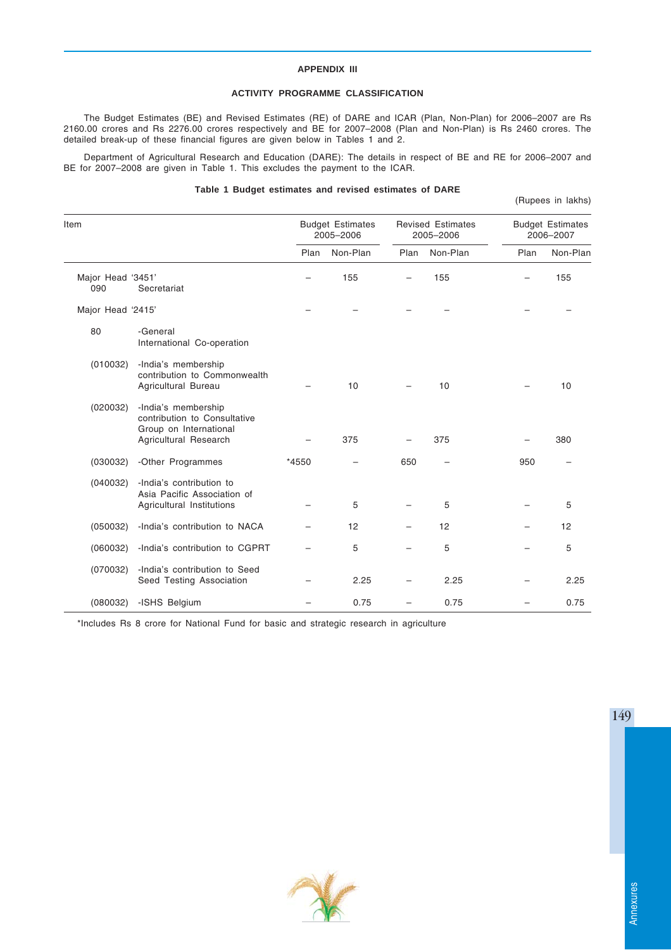# **APPENDIX III**

# **ACTIVITY PROGRAMME CLASSIFICATION**

The Budget Estimates (BE) and Revised Estimates (RE) of DARE and ICAR (Plan, Non-Plan) for 2006–2007 are Rs 2160.00 crores and Rs 2276.00 crores respectively and BE for 2007–2008 (Plan and Non-Plan) is Rs 2460 crores. The detailed break-up of these financial figures are given below in Tables 1 and 2.

Department of Agricultural Research and Education (DARE): The details in respect of BE and RE for 2006–2007 and BE for 2007–2008 are given in Table 1. This excludes the payment to the ICAR.

# **Table 1 Budget estimates and revised estimates of DARE**

(Rupees in lakhs)

| Item                     |                                                                                                        |       | <b>Budget Estimates</b><br>2005-2006 |      | <b>Revised Estimates</b><br>2005-2006 |      | <b>Budget Estimates</b><br>2006-2007 |
|--------------------------|--------------------------------------------------------------------------------------------------------|-------|--------------------------------------|------|---------------------------------------|------|--------------------------------------|
|                          |                                                                                                        | Plan  | Non-Plan                             | Plan | Non-Plan                              | Plan | Non-Plan                             |
| Major Head '3451'<br>090 | Secretariat                                                                                            |       | 155                                  |      | 155                                   |      | 155                                  |
| Major Head '2415'        |                                                                                                        |       |                                      |      |                                       |      |                                      |
| 80                       | -General<br>International Co-operation                                                                 |       |                                      |      |                                       |      |                                      |
| (010032)                 | -India's membership<br>contribution to Commonwealth<br>Agricultural Bureau                             |       | 10                                   |      | 10                                    |      | 10                                   |
| (020032)                 | -India's membership<br>contribution to Consultative<br>Group on International<br>Agricultural Research |       | 375                                  |      | 375                                   |      | 380                                  |
| (030032)                 | -Other Programmes                                                                                      | *4550 |                                      | 650  |                                       | 950  |                                      |
| (040032)                 | -India's contribution to<br>Asia Pacific Association of<br>Agricultural Institutions                   |       | 5                                    |      | 5                                     |      | 5                                    |
| (050032)                 | -India's contribution to NACA                                                                          |       | 12                                   |      | 12                                    |      | 12                                   |
| (060032)                 | -India's contribution to CGPRT                                                                         |       | 5                                    |      | 5                                     |      | 5                                    |
| (070032)                 | -India's contribution to Seed<br>Seed Testing Association                                              |       | 2.25                                 |      | 2.25                                  |      | 2.25                                 |
| (080032)                 | -ISHS Belgium                                                                                          |       | 0.75                                 |      | 0.75                                  |      | 0.75                                 |

\*Includes Rs 8 crore for National Fund for basic and strategic research in agriculture



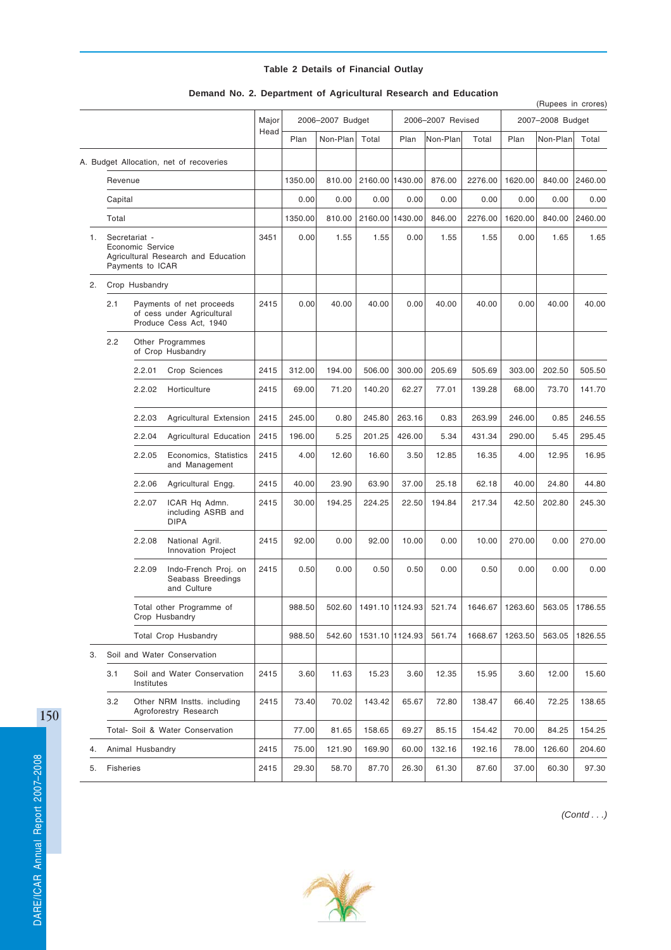# **Table 2 Details of Financial Outlay**

|    |                                                  |                                                                                  |                                                          |       |         |                  |                            |        |                   |         |                  | (Rupees in crores) |         |
|----|--------------------------------------------------|----------------------------------------------------------------------------------|----------------------------------------------------------|-------|---------|------------------|----------------------------|--------|-------------------|---------|------------------|--------------------|---------|
|    |                                                  |                                                                                  |                                                          | Major |         | 2006-2007 Budget |                            |        | 2006-2007 Revised |         | 2007-2008 Budget |                    |         |
|    |                                                  |                                                                                  |                                                          | Head  | Plan    | Non-Plan         | Total                      | Plan   | Non-Plan          | Total   | Plan             | Non-Plan           | Total   |
|    |                                                  |                                                                                  | A. Budget Allocation, net of recoveries                  |       |         |                  |                            |        |                   |         |                  |                    |         |
|    | Revenue                                          |                                                                                  |                                                          |       | 1350.00 | 810.00           | 2160.00 1430.00            |        | 876.00            | 2276.00 | 1620.00          | 840.00             | 2460.00 |
|    | Capital                                          |                                                                                  |                                                          |       | 0.00    | 0.00             | 0.00                       | 0.00   | 0.00              | 0.00    | 0.00             | 0.00               | 0.00    |
|    | Total                                            |                                                                                  |                                                          |       | 1350.00 | 810.00           | 2160.00 1430.00            |        | 846.00            | 2276.00 | 1620.00          | 840.00             | 2460.00 |
| 1. |                                                  | Secretariat -<br>Economic Service<br>Payments to ICAR                            | Agricultural Research and Education                      | 3451  | 0.00    | 1.55             | 1.55                       | 0.00   | 1.55              | 1.55    | 0.00             | 1.65               | 1.65    |
| 2. |                                                  | Crop Husbandry                                                                   |                                                          |       |         |                  |                            |        |                   |         |                  |                    |         |
|    | 2.1                                              | Payments of net proceeds<br>of cess under Agricultural<br>Produce Cess Act, 1940 |                                                          | 2415  | 0.00    | 40.00            | 40.00                      | 0.00   | 40.00             | 40.00   | 0.00             | 40.00              | 40.00   |
|    | 2.2                                              |                                                                                  | Other Programmes<br>of Crop Husbandry                    |       |         |                  |                            |        |                   |         |                  |                    |         |
|    |                                                  | 2.2.01                                                                           | Crop Sciences                                            | 2415  | 312.00  | 194.00           | 506.00                     | 300.00 | 205.69            | 505.69  | 303.00           | 202.50             | 505.50  |
|    |                                                  | 2.2.02                                                                           | Horticulture                                             | 2415  | 69.00   | 71.20            | 140.20                     | 62.27  | 77.01             | 139.28  | 68.00            | 73.70              | 141.70  |
|    |                                                  | 2.2.03                                                                           | Agricultural Extension                                   | 2415  | 245.00  | 0.80             | 245.80                     | 263.16 | 0.83              | 263.99  | 246.00           | 0.85               | 246.55  |
|    |                                                  | 2.2.04                                                                           | Agricultural Education                                   | 2415  | 196.00  | 5.25             | 201.25                     | 426.00 | 5.34              | 431.34  | 290.00           | 5.45               | 295.45  |
|    |                                                  | 2.2.05                                                                           | Economics, Statistics<br>and Management                  | 2415  | 4.00    | 12.60            | 16.60                      | 3.50   | 12.85             | 16.35   | 4.00             | 12.95              | 16.95   |
|    |                                                  | 2.2.06                                                                           | Agricultural Engg.                                       | 2415  | 40.00   | 23.90            | 63.90                      | 37.00  | 25.18             | 62.18   | 40.00            | 24.80              | 44.80   |
|    |                                                  | 2.2.07                                                                           | ICAR Hq Admn.<br>including ASRB and<br><b>DIPA</b>       | 2415  | 30.00   | 194.25           | 224.25                     | 22.50  | 194.84            | 217.34  | 42.50            | 202.80             | 245.30  |
|    |                                                  | 2.2.08                                                                           | National Agril.<br>Innovation Project                    | 2415  | 92.00   | 0.00             | 92.00                      | 10.00  | 0.00              | 10.00   | 270.00           | 0.00               | 270.00  |
|    |                                                  | 2.2.09                                                                           | Indo-French Proj. on<br>Seabass Breedings<br>and Culture | 2415  | 0.50    | 0.00             | 0.50                       | 0.50   | 0.00              | 0.50    | 0.00             | 0.00               | 0.00    |
|    |                                                  |                                                                                  | Total other Programme of<br>Crop Husbandry               |       | 988.50  |                  | 502.60   1491.10   1124.93 |        | 521.74            | 1646.67 | 1263.60          | 563.05             | 1786.55 |
|    |                                                  |                                                                                  | <b>Total Crop Husbandry</b>                              |       | 988.50  | 542.60           | 1531.10 1124.93            |        | 561.74            | 1668.67 | 1263.50          | 563.05             | 1826.55 |
| 3. |                                                  |                                                                                  | Soil and Water Conservation                              |       |         |                  |                            |        |                   |         |                  |                    |         |
|    | 3.1<br>Soil and Water Conservation<br>Institutes |                                                                                  |                                                          | 2415  | 3.60    | 11.63            | 15.23                      | 3.60   | 12.35             | 15.95   | 3.60             | 12.00              | 15.60   |
|    | 3.2                                              |                                                                                  | Other NRM Instts. including<br>Agroforestry Research     | 2415  | 73.40   | 70.02            | 143.42                     | 65.67  | 72.80             | 138.47  | 66.40            | 72.25              | 138.65  |
|    |                                                  |                                                                                  | Total- Soil & Water Conservation                         |       | 77.00   | 81.65            | 158.65                     | 69.27  | 85.15             | 154.42  | 70.00            | 84.25              | 154.25  |
| 4. |                                                  | Animal Husbandry                                                                 |                                                          | 2415  | 75.00   | 121.90           | 169.90                     | 60.00  | 132.16            | 192.16  | 78.00            | 126.60             | 204.60  |
| 5. | Fisheries                                        |                                                                                  |                                                          | 2415  | 29.30   | 58.70            | 87.70                      | 26.30  | 61.30             | 87.60   | 37.00            | 60.30              | 97.30   |

# **Demand No. 2. Department of Agricultural Research and Education**

150



*(Contd . . .)*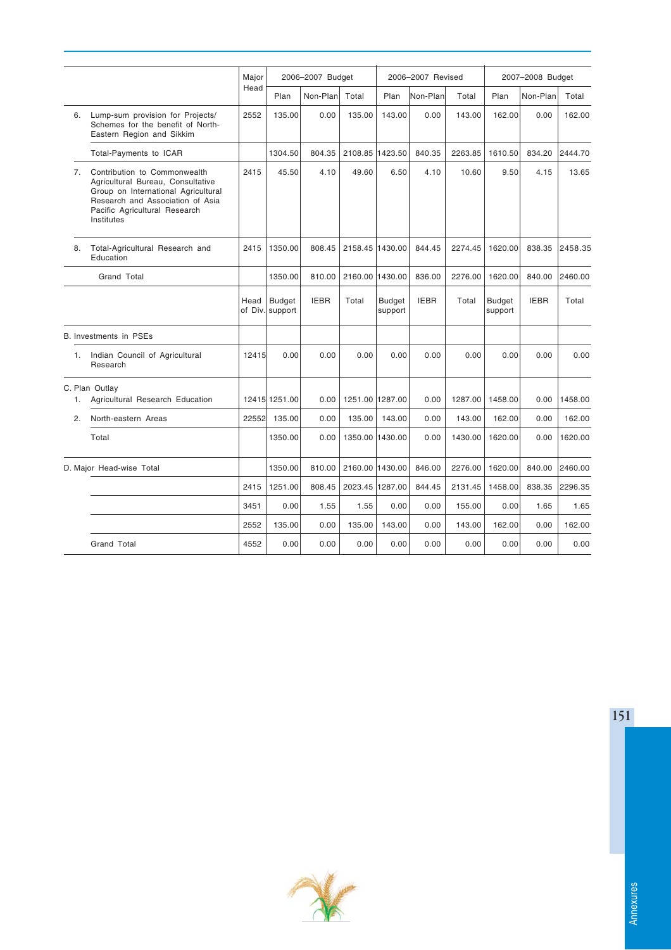|             |                                                                                                                                                                                             | Major | 2006-2007 Budget                 |             |                 |                          | 2006-2007 Revised |         | 2007-2008 Budget  |             |         |
|-------------|---------------------------------------------------------------------------------------------------------------------------------------------------------------------------------------------|-------|----------------------------------|-------------|-----------------|--------------------------|-------------------|---------|-------------------|-------------|---------|
|             |                                                                                                                                                                                             | Head  | Plan                             | Non-Plan    | Total           | Plan                     | Non-Plan          | Total   | Plan              | Non-Plan    | Total   |
| 6.          | Lump-sum provision for Projects/<br>Schemes for the benefit of North-<br>Eastern Region and Sikkim                                                                                          | 2552  | 135.00                           | 0.00        | 135.00          | 143.00                   | 0.00              | 143.00  | 162.00            | 0.00        | 162.00  |
|             | Total-Payments to ICAR                                                                                                                                                                      |       | 1304.50                          | 804.35      | 2108.85 1423.50 |                          | 840.35            | 2263.85 | 1610.50           | 834.20      | 2444.70 |
| 7.          | Contribution to Commonwealth<br>Agricultural Bureau, Consultative<br>Group on International Agricultural<br>Research and Association of Asia<br>Pacific Agricultural Research<br>Institutes | 2415  | 45.50                            | 4.10        | 49.60           | 6.50                     | 4.10              | 10.60   | 9.50              | 4.15        | 13.65   |
| 8.          | Total-Agricultural Research and<br>Education                                                                                                                                                | 2415  | 1350.00                          | 808.45      |                 | 2158.45 1430.00          | 844.45            | 2274.45 | 1620.00           | 838.35      | 2458.35 |
| Grand Total |                                                                                                                                                                                             |       | 1350.00                          | 810.00      | 2160.00 1430.00 |                          | 836.00            | 2276.00 | 1620.00           | 840.00      | 2460.00 |
|             |                                                                                                                                                                                             | Head  | <b>Budget</b><br>of Div. support | <b>IEBR</b> | Total           | <b>Budget</b><br>support | <b>IEBR</b>       | Total   | Budget<br>support | <b>IEBR</b> | Total   |
|             | B. Investments in PSEs                                                                                                                                                                      |       |                                  |             |                 |                          |                   |         |                   |             |         |
| 1.          | Indian Council of Agricultural<br>Research                                                                                                                                                  | 12415 | 0.00                             | 0.00        | 0.00            | 0.00                     | 0.00              | 0.00    | 0.00              | 0.00        | 0.00    |
| 1.          | C. Plan Outlay<br>Agricultural Research Education                                                                                                                                           |       | 12415 1251.00                    | 0.00        | 1251.00 1287.00 |                          | 0.00              | 1287.00 | 1458.00           | 0.00        | 1458.00 |
| 2.          | North-eastern Areas                                                                                                                                                                         | 22552 | 135.00                           | 0.00        | 135.00          | 143.00                   | 0.00              | 143.00  | 162.00            | 0.00        | 162.00  |
|             | Total                                                                                                                                                                                       |       | 1350.00                          | 0.00        |                 | 1350.00 1430.00          | 0.00              | 1430.00 | 1620.00           | 0.00        | 1620.00 |
|             | D. Major Head-wise Total                                                                                                                                                                    |       | 1350.00                          | 810.00      | 2160.00 1430.00 |                          | 846.00            | 2276.00 | 1620.00           | 840.00      | 2460.00 |
|             |                                                                                                                                                                                             | 2415  | 1251.00                          | 808.45      |                 | 2023.45 1287.00          | 844.45            | 2131.45 | 1458.00           | 838.35      | 2296.35 |
|             |                                                                                                                                                                                             | 3451  | 0.00                             | 1.55        | 1.55            | 0.00                     | 0.00              | 155.00  | 0.00              | 1.65        | 1.65    |
|             |                                                                                                                                                                                             | 2552  | 135.00                           | 0.00        | 135.00          | 143.00                   | 0.00              | 143.00  | 162.00            | 0.00        | 162.00  |
|             | Grand Total                                                                                                                                                                                 | 4552  | 0.00                             | 0.00        | 0.00            | 0.00                     | 0.00              | 0.00    | 0.00              | 0.00        | 0.00    |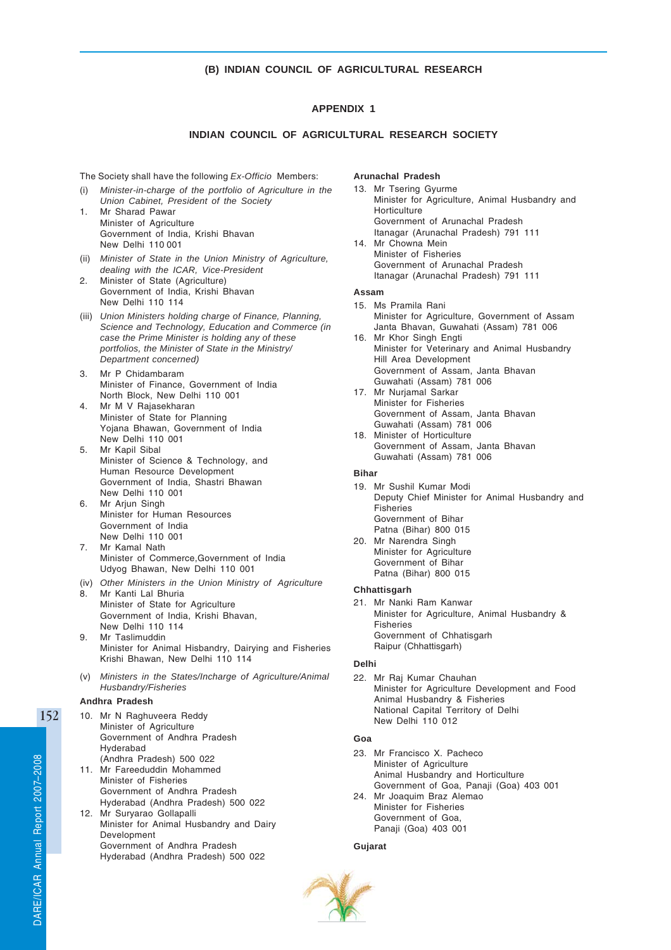# **(B) INDIAN COUNCIL OF AGRICULTURAL RESEARCH**

# **APPENDIX 1**

# **INDIAN COUNCIL OF AGRICULTURAL RESEARCH SOCIETY**

The Society shall have the following *Ex-Officio* Members:

- (i) *Minister-in-charge of the portfolio of Agriculture in the Union Cabinet, President of the Society*
- 1. Mr Sharad Pawar Minister of Agriculture Government of India, Krishi Bhavan New Delhi 110 001
- (ii) *Minister of State in the Union Ministry of Agriculture, dealing with the ICAR, Vice-President*
- 2. Minister of State (Agriculture) Government of India, Krishi Bhavan New Delhi 110 114
- (iii) *Union Ministers holding charge of Finance, Planning, Science and Technology, Education and Commerce (in case the Prime Minister is holding any of these portfolios, the Minister of State in the Ministry/ Department concerned)*
- 3. Mr P Chidambaram Minister of Finance, Government of India North Block, New Delhi 110 001
- 4. Mr M V Rajasekharan Minister of State for Planning Yojana Bhawan, Government of India New Delhi 110 001
- 5. Mr Kapil Sibal Minister of Science & Technology, and Human Resource Development Government of India, Shastri Bhawan New Delhi 110 001 6. Mr Arjun Singh
- Minister for Human Resources Government of India New Delhi 110 001
- 7. Mr Kamal Nath Minister of Commerce,Government of India Udyog Bhawan, New Delhi 110 001
- (iv) *Other Ministers in the Union Ministry of Agriculture* 8. Mr Kanti Lal Bhuria
- Minister of State for Agriculture Government of India, Krishi Bhavan, New Delhi 110 114 9. Mr Taslimuddin
- Minister for Animal Hisbandry, Dairying and Fisheries Krishi Bhawan, New Delhi 110 114
- (v) *Ministers in the States/Incharge of Agriculture/Animal Husbandry/Fisheries*

# **Andhra Pradesh**

10. Mr N Raghuveera Reddy Minister of Agriculture Government of Andhra Pradesh Hyderabad (Andhra Pradesh) 500 022 11. Mr Fareeduddin Mohammed Minister of Fisheries Government of Andhra Pradesh Hyderabad (Andhra Pradesh) 500 022 12. Mr Suryarao Gollapalli Minister for Animal Husbandry and Dairy Development Government of Andhra Pradesh

Hyderabad (Andhra Pradesh) 500 022

#### **Arunachal Pradesh**

- 13. Mr Tsering Gyurme Minister for Agriculture, Animal Husbandry and **Horticulture** Government of Arunachal Pradesh Itanagar (Arunachal Pradesh) 791 111 14. Mr Chowna Mein Minister of Fisheries
- Government of Arunachal Pradesh Itanagar (Arunachal Pradesh) 791 111

# **Assam**

- 15. Ms Pramila Rani Minister for Agriculture, Government of Assam Janta Bhavan, Guwahati (Assam) 781 006 16. Mr Khor Singh Engti
- Minister for Veterinary and Animal Husbandry Hill Area Development Government of Assam, Janta Bhavan Guwahati (Assam) 781 006
- 17. Mr Nurjamal Sarkar Minister for Fisheries Government of Assam, Janta Bhavan Guwahati (Assam) 781 006
- 18. Minister of Horticulture Government of Assam, Janta Bhavan Guwahati (Assam) 781 006

#### **Bihar**

- 19. Mr Sushil Kumar Modi Deputy Chief Minister for Animal Husbandry and Fisheries Government of Bihar Patna (Bihar) 800 015 20. Mr Narendra Singh
- Minister for Agriculture Government of Bihar Patna (Bihar) 800 015

#### **Chhattisgarh**

21. Mr Nanki Ram Kanwar Minister for Agriculture, Animal Husbandry & Fisheries Government of Chhatisgarh Raipur (Chhattisgarh)

#### **Delhi**

22. Mr Raj Kumar Chauhan Minister for Agriculture Development and Food Animal Husbandry & Fisheries National Capital Territory of Delhi New Delhi 110 012

# **Goa**

23. Mr Francisco X. Pacheco Minister of Agriculture Animal Husbandry and Horticulture Government of Goa, Panaji (Goa) 403 001 24. Mr Joaquim Braz Alemao Minister for Fisheries Government of Goa, Panaji (Goa) 403 001

#### **Gujarat**

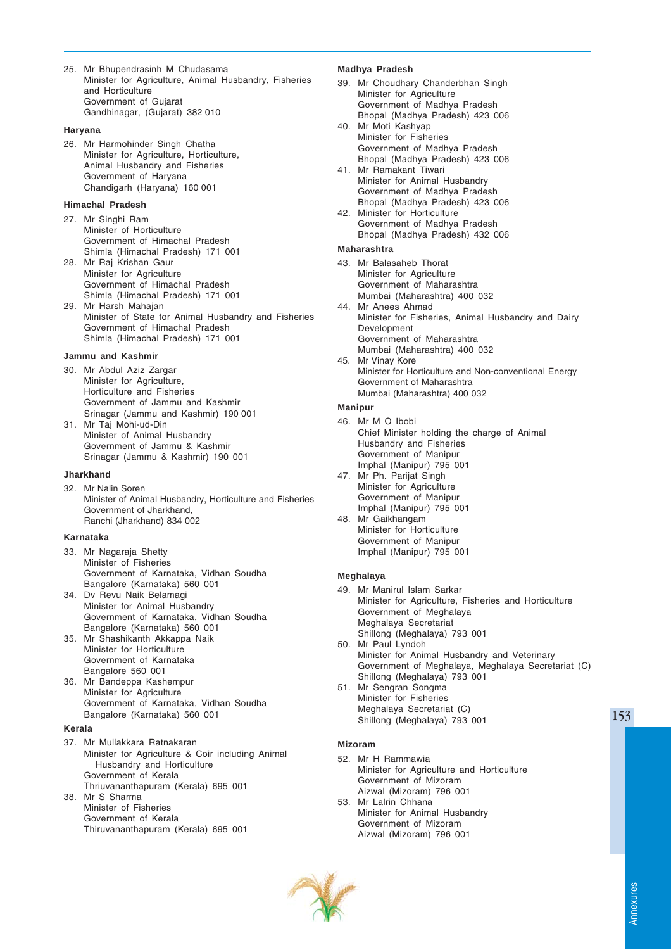25. Mr Bhupendrasinh M Chudasama Minister for Agriculture, Animal Husbandry, Fisheries and Horticulture Government of Gujarat Gandhinagar, (Gujarat) 382 010

# **Haryana**

26. Mr Harmohinder Singh Chatha Minister for Agriculture, Horticulture, Animal Husbandry and Fisheries Government of Haryana Chandigarh (Haryana) 160 001

# **Himachal Pradesh**

- 27. Mr Singhi Ram Minister of Horticulture Government of Himachal Pradesh Shimla (Himachal Pradesh) 171 001
- 28. Mr Raj Krishan Gaur Minister for Agriculture Government of Himachal Pradesh Shimla (Himachal Pradesh) 171 001
- 29. Mr Harsh Mahajan Minister of State for Animal Husbandry and Fisheries Government of Himachal Pradesh Shimla (Himachal Pradesh) 171 001

### **Jammu and Kashmir**

30. Mr Abdul Aziz Zargar Minister for Agriculture. Horticulture and Fisheries Government of Jammu and Kashmir Srinagar (Jammu and Kashmir) 190 001

31. Mr Taj Mohi-ud-Din Minister of Animal Husbandry Government of Jammu & Kashmir Srinagar (Jammu & Kashmir) 190 001

### **Jharkhand**

32. Mr Nalin Soren Minister of Animal Husbandry, Horticulture and Fisheries Government of Jharkhand, Ranchi (Jharkhand) 834 002

# **Karnataka**

- 33. Mr Nagaraja Shetty Minister of Fisheries Government of Karnataka, Vidhan Soudha Bangalore (Karnataka) 560 001
- 34. Dv Revu Naik Belamagi Minister for Animal Husbandry Government of Karnataka, Vidhan Soudha Bangalore (Karnataka) 560 001
- 35. Mr Shashikanth Akkappa Naik Minister for Horticulture Government of Karnataka Bangalore 560 001
- 36. Mr Bandeppa Kashempur Minister for Agriculture Government of Karnataka, Vidhan Soudha Bangalore (Karnataka) 560 001

#### **Kerala**

37. Mr Mullakkara Ratnakaran Minister for Agriculture & Coir including Animal Husbandry and Horticulture Government of Kerala Thriuvananthapuram (Kerala) 695 001

38. Mr S Sharma Minister of Fisheries Government of Kerala Thiruvananthapuram (Kerala) 695 001

### **Madhya Pradesh**

- 39. Mr Choudhary Chanderbhan Singh Minister for Agriculture Government of Madhya Pradesh Bhopal (Madhya Pradesh) 423 006
- 40. Mr Moti Kashyap Minister for Fisheries Government of Madhya Pradesh Bhopal (Madhya Pradesh) 423 006
- 41. Mr Ramakant Tiwari Minister for Animal Husbandry Government of Madhya Pradesh Bhopal (Madhya Pradesh) 423 006
- 42. Minister for Horticulture Government of Madhya Pradesh Bhopal (Madhya Pradesh) 432 006

# **Maharashtra**

- 43. Mr Balasaheb Thorat Minister for Agriculture Government of Maharashtra Mumbai (Maharashtra) 400 032
- 44. Mr Anees Ahmad Minister for Fisheries, Animal Husbandry and Dairy Development Government of Maharashtra Mumbai (Maharashtra) 400 032
- 45. Mr Vinay Kore Minister for Horticulture and Non-conventional Energy Government of Maharashtra Mumbai (Maharashtra) 400 032

#### **Manipur**

- 46. Mr M O Ibobi Chief Minister holding the charge of Animal Husbandry and Fisheries Government of Manipur Imphal (Manipur) 795 001
- 47. Mr Ph. Parijat Singh Minister for Agriculture Government of Manipur Imphal (Manipur) 795 001
- 48. Mr Gaikhangam Minister for Horticulture Government of Manipur Imphal (Manipur) 795 001

# **Meghalaya**

- 49. Mr Manirul Islam Sarkar Minister for Agriculture, Fisheries and Horticulture Government of Meghalaya Meghalaya Secretariat Shillong (Meghalaya) 793 001
- 50. Mr Paul Lyndoh Minister for Animal Husbandry and Veterinary Government of Meghalaya, Meghalaya Secretariat (C) Shillong (Meghalaya) 793 001
- 51. Mr Sengran Songma Minister for Fisheries Meghalaya Secretariat (C) Shillong (Meghalaya) 793 001

#### **Mizoram**

- 52. Mr H Rammawia Minister for Agriculture and Horticulture Government of Mizoram Aizwal (Mizoram) 796 001
- 53. Mr Lalrin Chhana Minister for Animal Husbandry Government of Mizoram Aizwal (Mizoram) 796 001

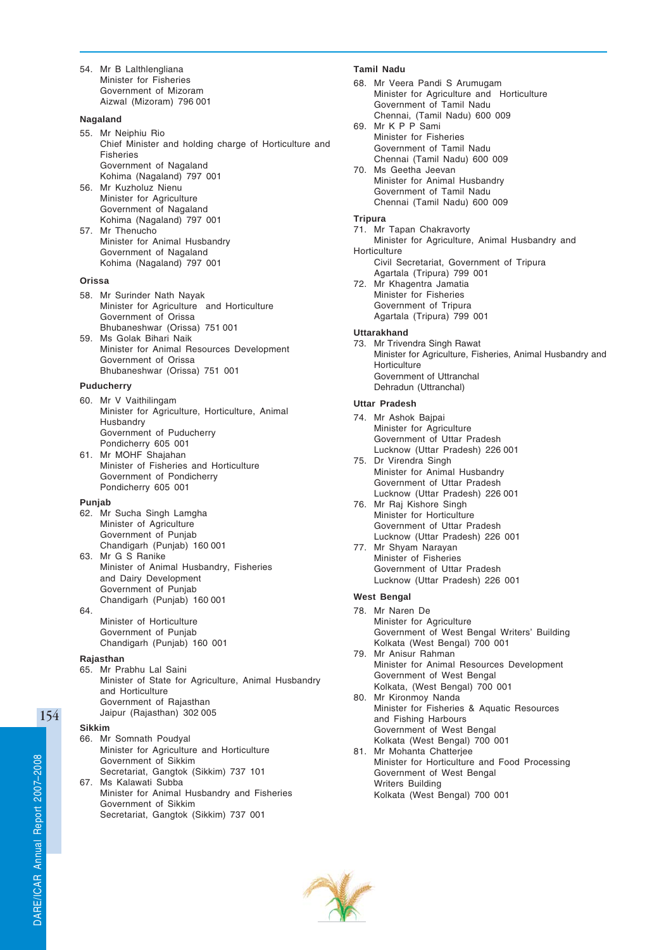54. Mr B Lalthlengliana Minister for Fisheries Government of Mizoram Aizwal (Mizoram) 796 001

### **Nagaland**

- 55. Mr Neiphiu Rio Chief Minister and holding charge of Horticulture and Fisheries Government of Nagaland Kohima (Nagaland) 797 001
- 56. Mr Kuzholuz Nienu Minister for Agriculture Government of Nagaland Kohima (Nagaland) 797 001
- 57. Mr Thenucho Minister for Animal Husbandry Government of Nagaland Kohima (Nagaland) 797 001

### **Orissa**

- 58. Mr Surinder Nath Nayak Minister for Agriculture and Horticulture Government of Orissa Bhubaneshwar (Orissa) 751 001
- 59. Ms Golak Bihari Naik Minister for Animal Resources Development Government of Orissa Bhubaneshwar (Orissa) 751 001

### **Puducherry**

- 60. Mr V Vaithilingam Minister for Agriculture, Horticulture, Animal **Husbandry** Government of Puducherry Pondicherry 605 001 61. Mr MOHF Shajahan
- Minister of Fisheries and Horticulture Government of Pondicherry Pondicherry 605 001

## **Punjab**

- 62. Mr Sucha Singh Lamgha Minister of Agriculture Government of Punjab Chandigarh (Punjab) 160 001
- 63. Mr G S Ranike Minister of Animal Husbandry, Fisheries and Dairy Development Government of Punjab Chandigarh (Punjab) 160 001 64.
- Minister of Horticulture Government of Punjab Chandigarh (Punjab) 160 001

# **Rajasthan**

65. Mr Prabhu Lal Saini Minister of State for Agriculture, Animal Husbandry and Horticulture Government of Rajasthan Jaipur (Rajasthan) 302 005

### **Sikkim**

- 66. Mr Somnath Poudyal Minister for Agriculture and Horticulture Government of Sikkim Secretariat, Gangtok (Sikkim) 737 101
- 67. Ms Kalawati Subba Minister for Animal Husbandry and Fisheries Government of Sikkim Secretariat, Gangtok (Sikkim) 737 001

# **Tamil Nadu**

- 68. Mr Veera Pandi S Arumugam Minister for Agriculture and Horticulture Government of Tamil Nadu Chennai, (Tamil Nadu) 600 009
- 69. Mr K P P Sami Minister for Fisheries Government of Tamil Nadu Chennai (Tamil Nadu) 600 009 70. Ms Geetha Jeevan
- Minister for Animal Husbandry Government of Tamil Nadu Chennai (Tamil Nadu) 600 009

# **Tripura**

- 71. Mr Tapan Chakravorty Minister for Agriculture, Animal Husbandry and **Horticulture**
- Civil Secretariat, Government of Tripura Agartala (Tripura) 799 001
- 72. Mr Khagentra Jamatia Minister for Fisheries Government of Tripura Agartala (Tripura) 799 001

### **Uttarakhand**

73. Mr Trivendra Singh Rawat Minister for Agriculture, Fisheries, Animal Husbandry and **Horticulture** Government of Uttranchal Dehradun (Uttranchal)

# **Uttar Pradesh**

- 74. Mr Ashok Bajpai Minister for Agriculture Government of Uttar Pradesh Lucknow (Uttar Pradesh) 226 001
- 75. Dr Virendra Singh Minister for Animal Husbandry Government of Uttar Pradesh Lucknow (Uttar Pradesh) 226 001
- 76. Mr Raj Kishore Singh Minister for Horticulture Government of Uttar Pradesh Lucknow (Uttar Pradesh) 226 001
- 77. Mr Shyam Narayan Minister of Fisheries Government of Uttar Pradesh Lucknow (Uttar Pradesh) 226 001

# **West Bengal**

- 78. Mr Naren De Minister for Agriculture Government of West Bengal Writers' Building Kolkata (West Bengal) 700 001
- 79. Mr Anisur Rahman Minister for Animal Resources Development Government of West Bengal Kolkata, (West Bengal) 700 001
- 80. Mr Kironmoy Nanda Minister for Fisheries & Aquatic Resources and Fishing Harbours Government of West Bengal Kolkata (West Bengal) 700 001
- 81. Mr Mohanta Chatterjee Minister for Horticulture and Food Processing Government of West Bengal Writers Building Kolkata (West Bengal) 700 001

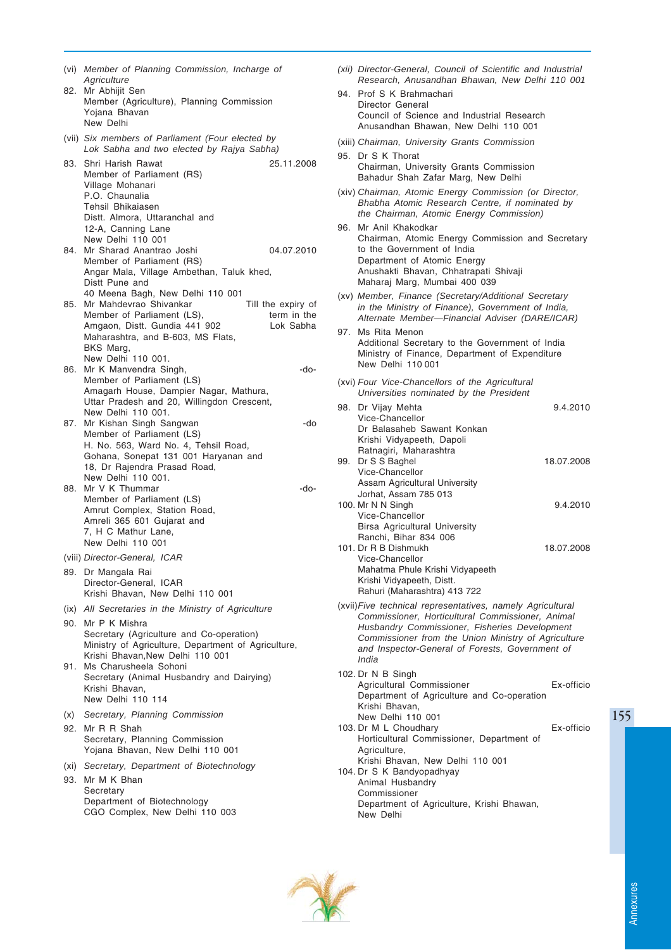|     | (vi) Member of Planning Commission, Incharge of<br>Agriculture                                                                                                                                                                                      |
|-----|-----------------------------------------------------------------------------------------------------------------------------------------------------------------------------------------------------------------------------------------------------|
|     | 82. Mr Abhijit Sen<br>Member (Agriculture), Planning Commission<br>Yojana Bhavan<br>New Delhi                                                                                                                                                       |
|     | (vii) Six members of Parliament (Four elected by<br>Lok Sabha and two elected by Rajya Sabha)                                                                                                                                                       |
| 83. | Shri Harish Rawat<br>25.11.2008<br>Member of Parliament (RS)<br>Village Mohanari<br>P.O. Chaunalia<br>Tehsil Bhikaiasen<br>Distt. Almora, Uttaranchal and<br>12-A, Canning Lane<br>New Delhi 110 001                                                |
| 84. | Mr Sharad Anantrao Joshi<br>04.07.2010<br>Member of Parliament (RS)<br>Angar Mala, Village Ambethan, Taluk khed,<br>Distt Pune and                                                                                                                  |
| 85. | 40 Meena Bagh, New Delhi 110 001<br>Mr Mahdevrao Shivankar<br>Till the expiry of<br>Member of Parliament (LS),<br>term in the<br>Amgaon, Distt. Gundia 441 902<br>Lok Sabha<br>Maharashtra, and B-603, MS Flats,<br>BKS Marg,<br>New Delhi 110 001. |
| 86. | Mr K Manvendra Singh,<br>$-do-$<br>Member of Parliament (LS)<br>Amagarh House, Dampier Nagar, Mathura,<br>Uttar Pradesh and 20, Willingdon Crescent,<br>New Delhi 110 001.                                                                          |
| 87. | Mr Kishan Singh Sangwan<br>-do<br>Member of Parliament (LS)<br>H. No. 563, Ward No. 4, Tehsil Road,<br>Gohana, Sonepat 131 001 Haryanan and<br>18, Dr Rajendra Prasad Road,<br>New Delhi 110 001.                                                   |
| 88. | Mr V K Thummar<br>-do-<br>Member of Parliament (LS)<br>Amrut Complex, Station Road,<br>Amreli 365 601 Gujarat and<br>7, H C Mathur Lane,<br>New Delhi 110 001                                                                                       |
|     | (viii) Director-General, ICAR                                                                                                                                                                                                                       |
|     | 89. Dr Mangala Rai<br>Director-General, ICAR<br>Krishi Bhavan, New Delhi 110 001                                                                                                                                                                    |
|     | (ix) All Secretaries in the Ministry of Agriculture                                                                                                                                                                                                 |
| 90. | Mr P K Mishra<br>Secretary (Agriculture and Co-operation)<br>Ministry of Agriculture, Department of Agriculture,                                                                                                                                    |
|     | Krishi Bhavan.New Delhi 110 001<br>91. Ms Charusheela Sohoni<br>Secretary (Animal Husbandry and Dairying)<br>Krishi Bhavan,<br>New Delhi 110 114                                                                                                    |
| (x) | Secretary, Planning Commission                                                                                                                                                                                                                      |
| 92. | Mr R R Shah<br>Secretary, Planning Commission<br>Yojana Bhavan, New Delhi 110 001                                                                                                                                                                   |
|     | (xi) Secretary, Department of Biotechnology                                                                                                                                                                                                         |
|     | 93. Mr M K Bhan<br>Secretary<br>Department of Biotechnology                                                                                                                                                                                         |
|     | CGO Complex, New Delhi 110 003                                                                                                                                                                                                                      |

- *(xii) Director-General, Council of Scientific and Industrial Research, Anusandhan Bhawan, New Delhi 110 001*
- 94. Prof S K Brahmachari Director General Council of Science and Industrial Research Anusandhan Bhawan, New Delhi 110 001
- (xiii) *Chairman, University Grants Commission*
- 95. Dr S K Thorat Chairman, University Grants Commission Bahadur Shah Zafar Marg, New Delhi
- (xiv) *Chairman, Atomic Energy Commission (or Director, Bhabha Atomic Research Centre, if nominated by the Chairman, Atomic Energy Commission)*
- 96. Mr Anil Khakodkar Chairman, Atomic Energy Commission and Secretary to the Government of India Department of Atomic Energy Anushakti Bhavan, Chhatrapati Shivaji Maharaj Marg, Mumbai 400 039
- (xv) *Member, Finance (Secretary/Additional Secretary in the Ministry of Finance), Government of India, Alternate Member—Financial Adviser (DARE/ICAR)*
- 97. Ms Rita Menon Additional Secretary to the Government of India Ministry of Finance, Department of Expenditure New Delhi 110 001
- (xvi) *Four Vice-Chancellors of the Agricultural Universities nominated by the President*

| 98. Dr Vijay Mehta              | 9.4.2010   |
|---------------------------------|------------|
| Vice-Chancellor                 |            |
| Dr Balasaheb Sawant Konkan      |            |
| Krishi Vidyapeeth, Dapoli       |            |
| Ratnagiri, Maharashtra          |            |
| 99. Dr S S Baghel               | 18.07.2008 |
| Vice-Chancellor                 |            |
| Assam Agricultural University   |            |
| Jorhat, Assam 785 013           |            |
| 100. Mr N N Singh               | 9.4.2010   |
| Vice-Chancellor                 |            |
| Birsa Agricultural University   |            |
| Ranchi, Bihar 834 006           |            |
| 101. Dr R B Dishmukh            | 18.07.2008 |
| Vice-Chancellor                 |            |
| Mahatma Phule Krishi Vidyapeeth |            |
| Krishi Vidyapeeth, Distt.       |            |
| Rahuri (Maharashtra) 413 722    |            |

- (xvii)*Five technical representatives, namely Agricultural Commissioner, Horticultural Commissioner, Animal Husbandry Commissioner, Fisheries Development Commissioner from the Union Ministry of Agriculture and Inspector-General of Forests, Government of India*
- 102. Dr N B Singh Agricultural Commissioner **Ex-officio** Department of Agriculture and Co-operation Krishi Bhavan, New Delhi 110 001 103. Dr M L Choudhary Ex-officio Horticultural Commissioner, Department of Agriculture, Krishi Bhavan, New Delhi 110 001 104. Dr S K Bandyopadhyay Animal Husbandry Commissioner Department of Agriculture, Krishi Bhawan, New Delhi

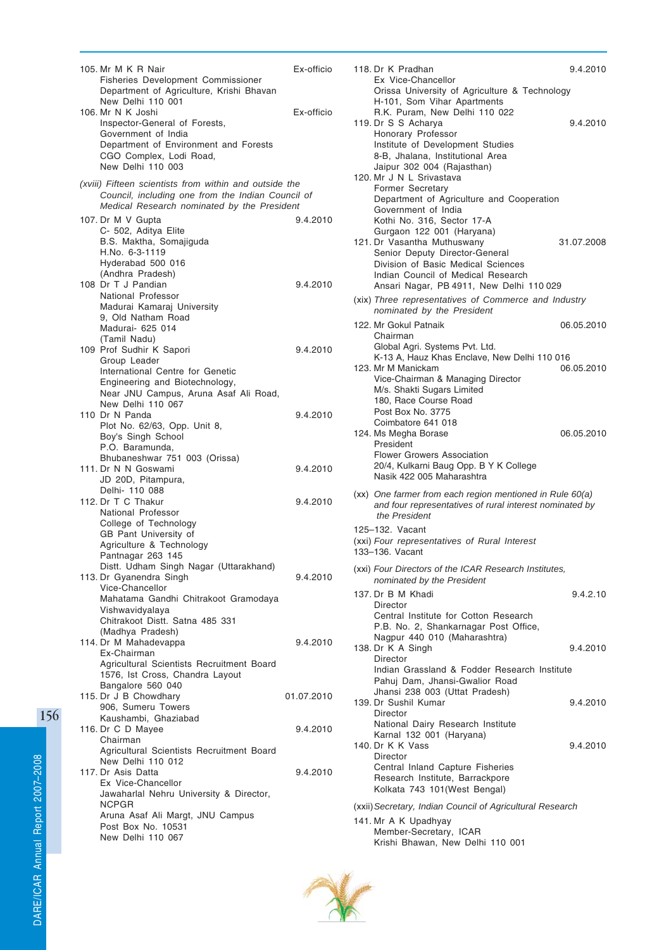| 105. Mr M K R Nair                                            | Ex-officio |
|---------------------------------------------------------------|------------|
| <b>Fisheries Development Commissioner</b>                     |            |
| Department of Agriculture, Krishi Bhavan<br>New Delhi 110 001 |            |
| 106. Mr N K Joshi                                             | Ex-officio |
| Inspector-General of Forests,                                 |            |
| Government of India<br>Department of Environment and Forests  |            |
| CGO Complex, Lodi Road,                                       |            |
| New Delhi 110 003                                             |            |
| (xviii) Fifteen scientists from within and outside the        |            |
| Council, including one from the Indian Council of             |            |
| Medical Research nominated by the President                   |            |
| 107. Dr M V Gupta<br>C- 502, Aditya Elite                     | 9.4.2010   |
| B.S. Maktha, Somajiguda                                       |            |
| H.No. 6-3-1119                                                |            |
| Hyderabad 500 016<br>(Andhra Pradesh)                         |            |
| 108 Dr T J Pandian                                            | 9.4.2010   |
| National Professor                                            |            |
| Madurai Kamaraj University                                    |            |
| 9, Old Natham Road<br>Madurai- 625 014                        |            |
| (Tamil Nadu)                                                  |            |
| 109 Prof Sudhir K Sapori                                      | 9.4.2010   |
| Group Leader<br>International Centre for Genetic              |            |
| Engineering and Biotechnology,                                |            |
| Near JNU Campus, Aruna Asaf Ali Road,                         |            |
| New Delhi 110 067<br>110 Dr N Panda                           |            |
| Plot No. 62/63, Opp. Unit 8,                                  | 9.4.2010   |
| Boy's Singh School                                            |            |
| P.O. Baramunda,                                               |            |
| Bhubaneshwar 751 003 (Orissa)<br>111. Dr N N Goswami          | 9.4.2010   |
| JD 20D, Pitampura,                                            |            |
| Delhi- 110 088                                                |            |
| 112. Dr T C Thakur<br>National Professor                      | 9.4.2010   |
| College of Technology                                         |            |
| GB Pant University of                                         |            |
| Agriculture & Technology<br>Pantnagar 263 145                 |            |
| Distt. Udham Singh Nagar (Uttarakhand)                        |            |
| 113. Dr Gyanendra Singh                                       | 9.4.2010   |
| Vice-Chancellor                                               |            |
| Mahatama Gandhi Chitrakoot Gramodaya<br>Vishwavidyalaya       |            |
| Chitrakoot Distt. Satna 485 331                               |            |
| (Madhya Pradesh)                                              |            |
| 114. Dr M Mahadevappa<br>Ex-Chairman                          | 9.4.2010   |
| Agricultural Scientists Recruitment Board                     |            |
| 1576, Ist Cross, Chandra Layout                               |            |
| Bangalore 560 040<br>115. Dr J B Chowdhary                    | 01.07.2010 |
| 906. Sumeru Towers                                            |            |
| Kaushambi, Ghaziabad                                          |            |
| 116. Dr C D Mayee                                             | 9.4.2010   |
| Chairman<br>Agricultural Scientists Recruitment Board         |            |
| New Delhi 110 012                                             |            |
| 117. Dr Asis Datta                                            | 9.4.2010   |
| Ex Vice-Chancellor<br>Jawaharlal Nehru University & Director, |            |
| <b>NCPGR</b>                                                  |            |
| Aruna Asaf Ali Margt, JNU Campus                              |            |
| Post Box No. 10531<br>New Delhi 110 067                       |            |
|                                                               |            |

| 118. Dr K Pradhan                                                                                                                                                                                                  | 9.4.2010   |
|--------------------------------------------------------------------------------------------------------------------------------------------------------------------------------------------------------------------|------------|
| Ex Vice-Chancellor<br>Orissa University of Agriculture & Technology<br>H-101, Som Vihar Apartments                                                                                                                 |            |
| R.K. Puram, New Delhi 110 022<br>119. Dr S S Acharya<br>Honorary Professor                                                                                                                                         | 9.4.2010   |
| Institute of Development Studies<br>8-B, Jhalana, Institutional Area<br>Jaipur 302 004 (Rajasthan)                                                                                                                 |            |
| 120. Mr J N L Srivastava<br>Former Secretary                                                                                                                                                                       |            |
| Department of Agriculture and Cooperation<br>Government of India<br>Kothi No. 316, Sector 17-A                                                                                                                     |            |
| Gurgaon 122 001 (Haryana)<br>121. Dr Vasantha Muthuswany<br>Senior Deputy Director-General<br>Division of Basic Medical Sciences<br>Indian Council of Medical Research<br>Ansari Nagar, PB 4911, New Delhi 110 029 | 31.07.2008 |
| (xix) Three representatives of Commerce and Industry<br>nominated by the President                                                                                                                                 |            |
| 122. Mr Gokul Patnaik<br>Chairman                                                                                                                                                                                  | 06.05.2010 |
| Global Agri. Systems Pvt. Ltd.<br>K-13 A, Hauz Khas Enclave, New Delhi 110 016<br>123. Mr M Manickam<br>Vice-Chairman & Managing Director<br>M/s. Shakti Sugars Limited<br>180, Race Course Road                   | 06.05.2010 |
| Post Box No. 3775<br>Coimbatore 641 018<br>124. Ms Megha Borase<br>President<br><b>Flower Growers Association</b><br>20/4, Kulkarni Baug Opp. B Y K College<br>Nasik 422 005 Maharashtra                           | 06.05.2010 |
| (xx) One farmer from each region mentioned in Rule 60(a)<br>and four representatives of rural interest nominated by<br>the President                                                                               |            |
| 125-132. Vacant<br>(xxi) Four representatives of Rural Interest<br>133-136. Vacant                                                                                                                                 |            |
| (xxi) Four Directors of the ICAR Research Institutes,<br>nominated by the President                                                                                                                                |            |
| 137. Dr B M Khadi<br>Director                                                                                                                                                                                      | 9.4.2.10   |
| Central Institute for Cotton Research<br>P.B. No. 2, Shankarnagar Post Office,<br>Nagpur 440 010 (Maharashtra)                                                                                                     |            |
| 138. Dr K A Singh<br><b>Director</b>                                                                                                                                                                               | 9.4.2010   |
| Indian Grassland & Fodder Research Institute<br>Pahuj Dam, Jhansi-Gwalior Road<br>Jhansi 238 003 (Uttat Pradesh)                                                                                                   |            |
| 139. Dr Sushil Kumar<br>Director<br>National Dairy Research Institute                                                                                                                                              | 9.4.2010   |
| Karnal 132 001 (Haryana)<br>140. Dr K K Vass<br>Director<br>Central Inland Capture Fisheries<br>Research Institute, Barrackpore<br>Kolkata 743 101 (West Bengal)                                                   | 9.4.2010   |
| (xxii) Secretary, Indian Council of Agricultural Research                                                                                                                                                          |            |
| 141. Mr A K Upadhyay                                                                                                                                                                                               |            |



Member-Secretary, ICAR

Krishi Bhawan, New Delhi 110 001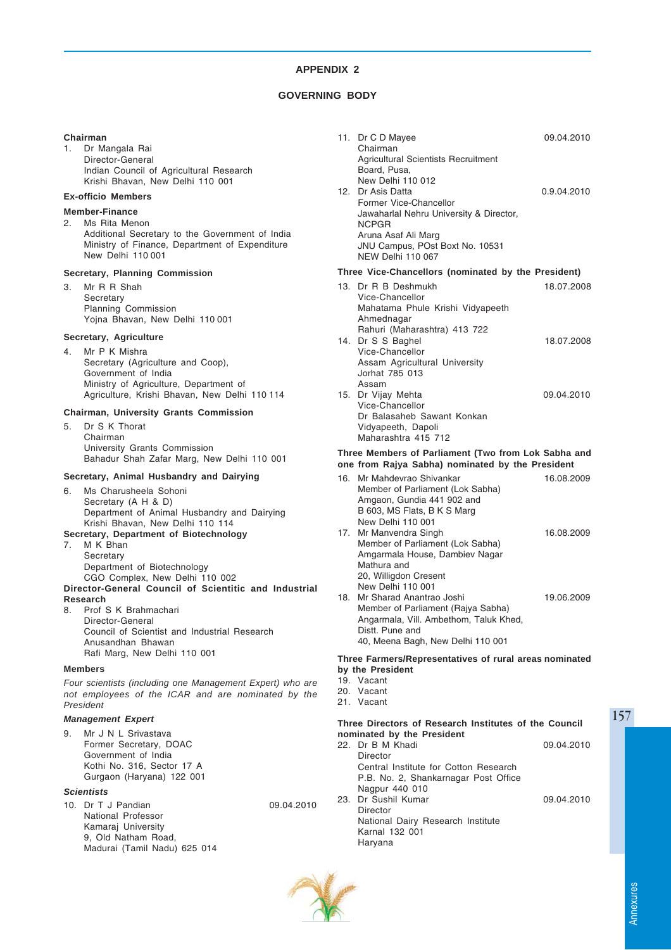# **GOVERNING BODY**

### **Chairman**

1. Dr Mangala Rai Director-General Indian Council of Agricultural Research Krishi Bhavan, New Delhi 110 001

# **Ex-officio Members**

# **Member-Finance**

2. Ms Rita Menon Additional Secretary to the Government of India Ministry of Finance, Department of Expenditure New Delhi 110 001

### **Secretary, Planning Commission**

3. Mr R R Shah **Secretary** Planning Commission Yojna Bhavan, New Delhi 110 001

# **Secretary, Agriculture**

4. Mr P K Mishra Secretary (Agriculture and Coop), Government of India Ministry of Agriculture, Department of Agriculture, Krishi Bhavan, New Delhi 110 114

# **Chairman, University Grants Commission**

5. Dr S K Thorat Chairman University Grants Commission Bahadur Shah Zafar Marg, New Delhi 110 001

# **Secretary, Animal Husbandry and Dairying**

- 6. Ms Charusheela Sohoni Secretary (A H & D) Department of Animal Husbandry and Dairying Krishi Bhavan, New Delhi 110 114 **Secretary, Department of Biotechnology**
- 7. M K Bhan

**Secretary** Department of Biotechnology CGO Complex, New Delhi 110 002 **Director-General Council of Scientitic and Industrial**

#### **Research**

8. Prof S K Brahmachari Director-General Council of Scientist and Industrial Research Anusandhan Bhawan Rafi Marg, New Delhi 110 001

### **Members**

*Four scientists (including one Management Expert) who are not employees of the ICAR and are nominated by the President*

# *Management Expert*

9. Mr J N L Srivastava Former Secretary, DOAC Government of India Kothi No. 316, Sector 17 A Gurgaon (Haryana) 122 001

# *Scientists*

10. Dr T J Pandian 09.04.2010 National Professor Kamaraj University 9, Old Natham Road, Madurai (Tamil Nadu) 625 014

|                                                     | 11. Dr C D Mayee                        | 09.04.2010  |  |  |  |
|-----------------------------------------------------|-----------------------------------------|-------------|--|--|--|
|                                                     | Chairman                                |             |  |  |  |
|                                                     | Agricultural Scientists Recruitment     |             |  |  |  |
|                                                     | Board, Pusa,                            |             |  |  |  |
|                                                     | New Delhi 110 012                       |             |  |  |  |
|                                                     | 12. Dr Asis Datta                       | 0.9.04.2010 |  |  |  |
|                                                     | Former Vice-Chancellor                  |             |  |  |  |
|                                                     | Jawaharlal Nehru University & Director, |             |  |  |  |
|                                                     | <b>NCPGR</b>                            |             |  |  |  |
|                                                     | Aruna Asaf Ali Marg                     |             |  |  |  |
|                                                     | JNU Campus, POst Boxt No. 10531         |             |  |  |  |
|                                                     | NEW Delhi 110 067                       |             |  |  |  |
| Three Vice-Chancellors (nominated by the President) |                                         |             |  |  |  |

#### **Three Vice-Chancellors (nominated by the President)**

| 13. Dr R B Deshmukh              | 18.07.2008 |
|----------------------------------|------------|
| Vice-Chancellor                  |            |
| Mahatama Phule Krishi Vidyapeeth |            |
| Ahmednagar                       |            |
| Rahuri (Maharashtra) 413 722     |            |
| 14. Dr S S Baghel                | 18.07.2008 |
| Vice-Chancellor                  |            |
| Assam Agricultural University    |            |
| Jorhat 785 013                   |            |
| Assam                            |            |
| 15. Dr Vijay Mehta               | 09.04.2010 |
| Vice-Chancellor                  |            |
| Dr Balasaheb Sawant Konkan       |            |
| Vidyapeeth, Dapoli               |            |
| Maharashtra 415 712              |            |
|                                  |            |

#### **Three Members of Parliament (Two from Lok Sabha and one from Rajya Sabha) nominated by the President**

|     | 16. Mr Mahdevrao Shivankar<br>Member of Parliament (Lok Sabha)<br>Amgaon, Gundia 441 902 and | 16.08.2009 |
|-----|----------------------------------------------------------------------------------------------|------------|
|     | B 603, MS Flats, B K S Marg                                                                  |            |
|     | New Delhi 110 001                                                                            |            |
|     | 17. Mr Manvendra Singh                                                                       | 16.08.2009 |
|     | Member of Parliament (Lok Sabha)                                                             |            |
|     | Amgarmala House, Dambiev Nagar                                                               |            |
|     | Mathura and                                                                                  |            |
|     | 20, Willigdon Cresent                                                                        |            |
|     | New Delhi 110 001                                                                            |            |
| 18. | Mr Sharad Anantrao Joshi                                                                     | 19.06.2009 |
|     | Member of Parliament (Rajya Sabha)                                                           |            |
|     | Angarmala, Vill. Ambethom, Taluk Khed,                                                       |            |
|     | Distt. Pune and                                                                              |            |
|     | 40, Meena Bagh, New Delhi 110 001                                                            |            |

# **Three Farmers/Representatives of rural areas nominated by the President**

- 19. Vacant
- 20. Vacant
- 21. Vacant

# **Three Directors of Research Institutes of the Council nominated by the President**

| 22. Dr B M Khadi                      | 09.04.2010 |
|---------------------------------------|------------|
| Director                              |            |
| Central Institute for Cotton Research |            |
| P.B. No. 2, Shankarnagar Post Office  |            |
| Nagpur 440 010                        |            |
| 23. Dr Sushil Kumar                   | 09.04.2010 |
| Director                              |            |
| National Dairy Research Institute     |            |
| Karnal 132 001                        |            |
| Haryana                               |            |
|                                       |            |

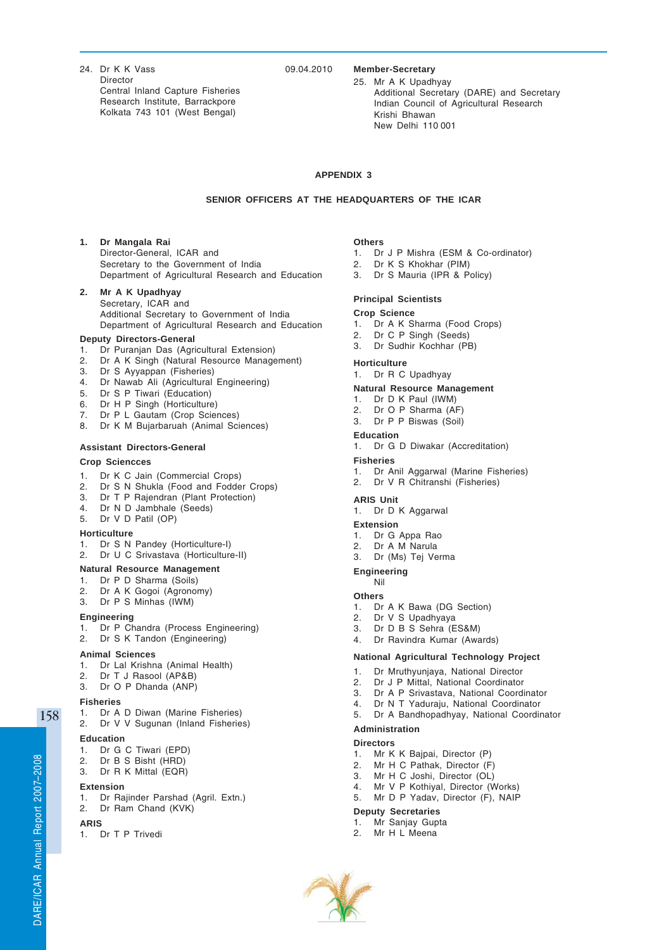24. Dr K K Vass 09.04.2010 Director Central Inland Capture Fisheries Research Institute, Barrackpore Kolkata 743 101 (West Bengal)

### **Member-Secretary**

25. Mr A K Upadhyay Additional Secretary (DARE) and Secretary Indian Council of Agricultural Research Krishi Bhawan New Delhi 110 001

# **APPENDIX 3**

### **SENIOR OFFICERS AT THE HEADQUARTERS OF THE ICAR**

**1. Dr Mangala Rai** Director-General, ICAR and Secretary to the Government of India Department of Agricultural Research and Education

### **2. Mr A K Upadhyay** Secretary, ICAR and Additional Secretary to Government of India Department of Agricultural Research and Education

### **Deputy Directors-General**

- 1. Dr Puranjan Das (Agricultural Extension)
- 2. Dr A K Singh (Natural Resource Management)
- 3. Dr S Ayyappan (Fisheries)
- 4. Dr Nawab Ali (Agricultural Engineering)
- 5. Dr S P Tiwari (Education)
- 6. Dr H P Singh (Horticulture)
- 7. Dr P L Gautam (Crop Sciences)
- 8. Dr K M Bujarbaruah (Animal Sciences)

### **Assistant Directors-General**

# **Crop Sciencces**

- 1. Dr K C Jain (Commercial Crops)
- 2. Dr S N Shukla (Food and Fodder Crops)
- 3. Dr T P Rajendran (Plant Protection)
- 4. Dr N D Jambhale (Seeds)
- 5. Dr V D Patil (OP)

# **Horticulture**

- 1. Dr S N Pandey (Horticulture-I)
- 2. Dr U C Srivastava (Horticulture-II)

### **Natural Resource Management**

- 1. Dr P D Sharma (Soils)
- 2. Dr A K Gogoi (Agronomy)
- 3. Dr P S Minhas (IWM)

### **Engineering**

- 1. Dr P Chandra (Process Engineering)
- 2. Dr S K Tandon (Engineering)

# **Animal Sciences**

- 1. Dr Lal Krishna (Animal Health)
- 2. Dr T J Rasool (AP&B)
- 3. Dr O P Dhanda (ANP)

#### **Fisheries**

- 1. Dr A D Diwan (Marine Fisheries)
- 2. Dr V V Sugunan (Inland Fisheries)

# **Education**

- 1. Dr G C Tiwari (EPD)
- 2. Dr B S Bisht (HRD)
- 3. Dr R K Mittal (EQR)

#### **Extension**

- 1. Dr Rajinder Parshad (Agril. Extn.)
- 2. Dr Ram Chand (KVK)

# **ARIS**

1. Dr T P Trivedi

### **Others**

- 1. Dr J P Mishra (ESM & Co-ordinator)
- 2. Dr K S Khokhar (PIM)
- 3. Dr S Mauria (IPR & Policy)

### **Principal Scientists**

- **Crop Science**
- 1. Dr A K Sharma (Food Crops)
- 2. Dr C P Singh (Seeds)
- 3. Dr Sudhir Kochhar (PB)

#### **Horticulture**

1. Dr R C Upadhyay

### **Natural Resource Management**

- 1. Dr D K Paul (IWM)
- 2. Dr O P Sharma (AF)
- 3. Dr P P Biswas (Soil)

### **Education**

1. Dr G D Diwakar (Accreditation)

#### **Fisheries**

- 1. Dr Anil Aggarwal (Marine Fisheries)
- 2. Dr V R Chitranshi (Fisheries)

#### **ARIS Unit**

1. Dr D K Aggarwal

#### **Extension**

- 1. Dr G Appa Rao<br>2. Dr A M Narula
- Dr A M Narula
- 3. Dr (Ms) Tej Verma

#### **Engineering**

Nil

#### **Others**

- 1. Dr A K Bawa (DG Section)
- 2. Dr V S Upadhyaya
- 3. Dr D B S Sehra (ES&M)
- 4. Dr Ravindra Kumar (Awards)

#### **National Agricultural Technology Project**

- 1. Dr Mruthyunjaya, National Director
- 2. Dr J P Mittal, National Coordinator
- 
- 3. Dr A P Srivastava, National Coordinator Dr N T Yaduraju, National Coordinator
- 5. Dr A Bandhopadhyay, National Coordinator
- **Administration**

- **Directors** 1. Mr K K Bajpai, Director (P)
- 2. Mr H C Pathak, Director (F)
- 
- 3. Mr H C Joshi, Director (OL)<br>4. Mr V P Kothiyal, Director (W Mr V P Kothiyal, Director (Works)
- 5. Mr D P Yadav, Director (F), NAIP

#### **Deputy Secretaries**

#### 1. Mr Sanjay Gupta

2. Mr H L Meena

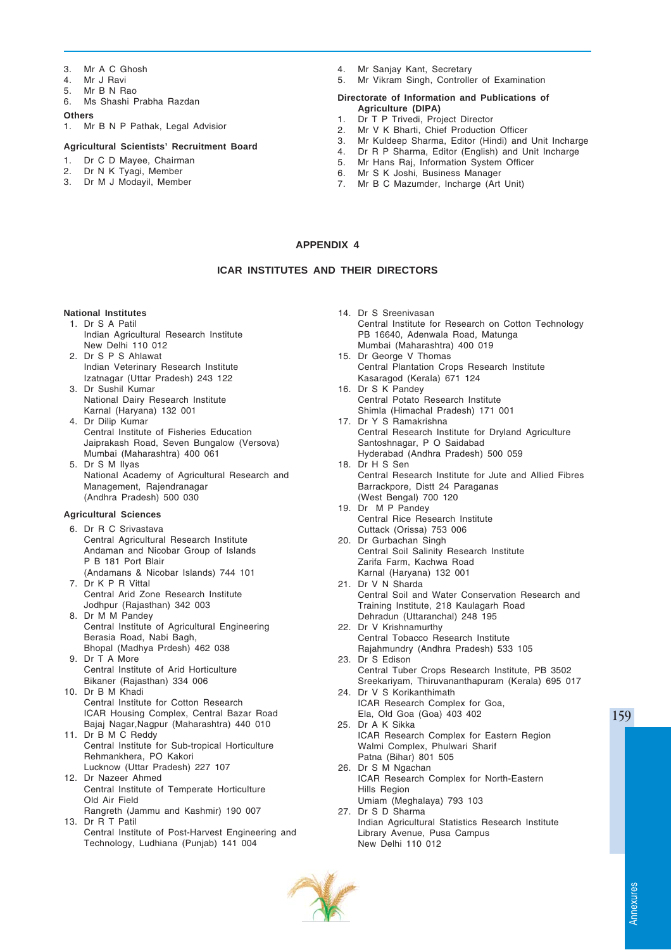- 3. Mr A C Ghosh
- 4. Mr J Ravi
- 5. Mr B N Rao
- 6. Ms Shashi Prabha Razdan

#### **Others**

1. Mr B N P Pathak, Legal Advisior

### **Agricultural Scientists' Recruitment Board**

- 1. Dr C D Mayee, Chairman
- 2. Dr N K Tyagi, Member
- 3. Dr M J Modayil, Member
- 4. Mr Sanjay Kant, Secretary<br>5. Mr Vikram Singh, Controlle
- Mr Vikram Singh, Controller of Examination

#### **Directorate of Information and Publications of Agriculture (DIPA)**

- 1. Dr T P Trivedi, Project Director<br>2. Mr V K Bharti. Chief Production
- Mr V K Bharti, Chief Production Officer
- 3. Mr Kuldeep Sharma, Editor (Hindi) and Unit Incharge
- 4. Dr R P Sharma, Editor (English) and Unit Incharge
- 5. Mr Hans Raj, Information System Officer
- 6. Mr S K Joshi, Business Manager<br>7. Mr B C Mazumder, Incharge (Art
- Mr B C Mazumder, Incharge (Art Unit)

# **APPENDIX 4**

# **ICAR INSTITUTES AND THEIR DIRECTORS**

# **National Institutes**

- 1. Dr S A Patil Indian Agricultural Research Institute New Delhi 110 012
- 2. Dr S P S Ahlawat Indian Veterinary Research Institute Izatnagar (Uttar Pradesh) 243 122
- 3. Dr Sushil Kumar National Dairy Research Institute Karnal (Haryana) 132 001
- 4. Dr Dilip Kumar Central Institute of Fisheries Education Jaiprakash Road, Seven Bungalow (Versova) Mumbai (Maharashtra) 400 061
- 5. Dr S M Ilyas National Academy of Agricultural Research and Management, Rajendranagar (Andhra Pradesh) 500 030

### **Agricultural Sciences**

- 6. Dr R C Srivastava Central Agricultural Research Institute Andaman and Nicobar Group of Islands P B 181 Port Blair
- (Andamans & Nicobar Islands) 744 101 7. Dr K P R Vittal
- Central Arid Zone Research Institute Jodhpur (Rajasthan) 342 003
- 8. Dr M M Pandey Central Institute of Agricultural Engineering Berasia Road, Nabi Bagh, Bhopal (Madhya Prdesh) 462 038
- 9. Dr T A More Central Institute of Arid Horticulture Bikaner (Rajasthan) 334 006
- 10. Dr B M Khadi Central Institute for Cotton Research ICAR Housing Complex, Central Bazar Road Bajaj Nagar,Nagpur (Maharashtra) 440 010
- 11. Dr B M C Reddy Central Institute for Sub-tropical Horticulture Rehmankhera, PO Kakori Lucknow (Uttar Pradesh) 227 107
- 12. Dr Nazeer Ahmed Central Institute of Temperate Horticulture Old Air Field
- Rangreth (Jammu and Kashmir) 190 007 13. Dr R T Patil
- Central Institute of Post-Harvest Engineering and Technology, Ludhiana (Punjab) 141 004
- 14. Dr S Sreenivasan Central Institute for Research on Cotton Technology PB 16640, Adenwala Road, Matunga Mumbai (Maharashtra) 400 019 15. Dr George V Thomas Central Plantation Crops Research Institute Kasaragod (Kerala) 671 124 16. Dr S K Pandey Central Potato Research Institute Shimla (Himachal Pradesh) 171 001 17. Dr Y S Ramakrishna Central Research Institute for Dryland Agriculture Santoshnagar, P O Saidabad Hyderabad (Andhra Pradesh) 500 059 18. Dr H S Sen Central Research Institute for Jute and Allied Fibres Barrackpore, Distt 24 Paraganas (West Bengal) 700 120 19. Dr M P Pandey Central Rice Research Institute Cuttack (Orissa) 753 006 20. Dr Gurbachan Singh Central Soil Salinity Research Institute Zarifa Farm, Kachwa Road Karnal (Haryana) 132 001 21. Dr V N Sharda Central Soil and Water Conservation Research and Training Institute, 218 Kaulagarh Road Dehradun (Uttaranchal) 248 195 22. Dr V Krishnamurthy Central Tobacco Research Institute Rajahmundry (Andhra Pradesh) 533 105 23. Dr S Edison Central Tuber Crops Research Institute, PB 3502 Sreekariyam, Thiruvananthapuram (Kerala) 695 017 24. Dr V S Korikanthimath ICAR Research Complex for Goa, Ela, Old Goa (Goa) 403 402 25. Dr A K Sikka ICAR Research Complex for Eastern Region Walmi Complex, Phulwari Sharif Patna (Bihar) 801 505 26. Dr S M Ngachan
- ICAR Research Complex for North-Eastern Hills Region Umiam (Meghalaya) 793 103
- 27. Dr S D Sharma Indian Agricultural Statistics Research Institute Library Avenue, Pusa Campus New Delhi 110 012

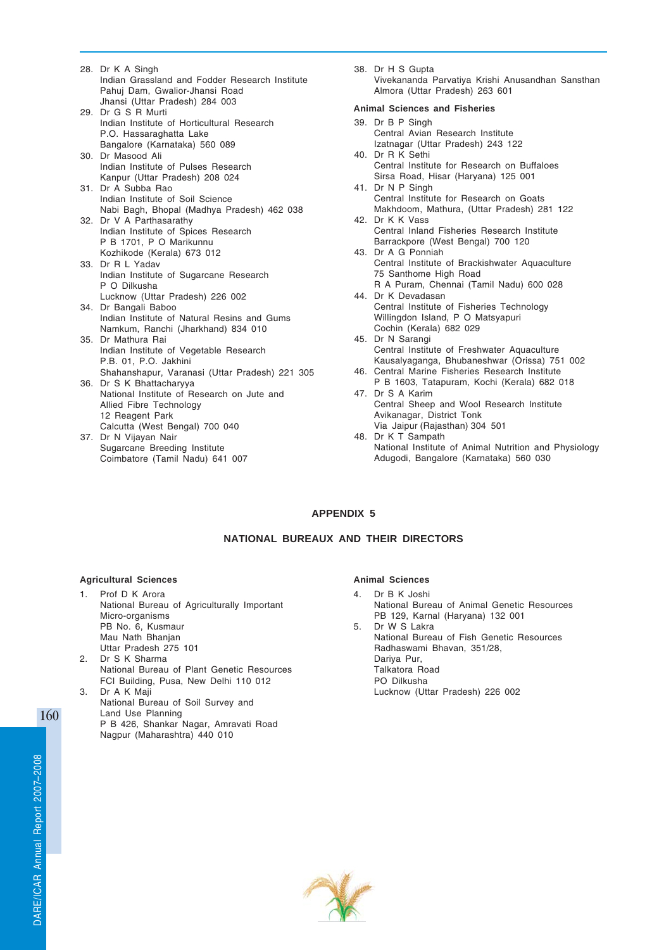- 28. Dr K A Singh Indian Grassland and Fodder Research Institute Pahuj Dam, Gwalior-Jhansi Road Jhansi (Uttar Pradesh) 284 003 29. Dr G S R Murti Indian Institute of Horticultural Research P.O. Hassaraghatta Lake Bangalore (Karnataka) 560 089 30. Dr Masood Ali Indian Institute of Pulses Research Kanpur (Uttar Pradesh) 208 024 31. Dr A Subba Rao Indian Institute of Soil Science Nabi Bagh, Bhopal (Madhya Pradesh) 462 038 32. Dr V A Parthasarathy Indian Institute of Spices Research P B 1701, P O Marikunnu Kozhikode (Kerala) 673 012 33. Dr R L Yadav Indian Institute of Sugarcane Research P O Dilkusha Lucknow (Uttar Pradesh) 226 002 34. Dr Bangali Baboo Indian Institute of Natural Resins and Gums Namkum, Ranchi (Jharkhand) 834 010 35. Dr Mathura Rai Indian Institute of Vegetable Research P.B. 01, P.O. Jakhini Shahanshapur, Varanasi (Uttar Pradesh) 221 305 36. Dr S K Bhattacharyya National Institute of Research on Jute and Allied Fibre Technology 12 Reagent Park Calcutta (West Bengal) 700 040 37. Dr N Vijayan Nair Sugarcane Breeding Institute Coimbatore (Tamil Nadu) 641 007
- 38. Dr H S Gupta Vivekananda Parvatiya Krishi Anusandhan Sansthan Almora (Uttar Pradesh) 263 601

### **Animal Sciences and Fisheries**

- 39. Dr B P Singh Central Avian Research Institute Izatnagar (Uttar Pradesh) 243 122 40. Dr R K Sethi
- Central Institute for Research on Buffaloes Sirsa Road, Hisar (Haryana) 125 001
- 41. Dr N P Singh Central Institute for Research on Goats Makhdoom, Mathura, (Uttar Pradesh) 281 122 42. Dr K K Vass
- Central Inland Fisheries Research Institute Barrackpore (West Bengal) 700 120
- 43. Dr A G Ponniah Central Institute of Brackishwater Aquaculture 75 Santhome High Road R A Puram, Chennai (Tamil Nadu) 600 028
- 44. Dr K Devadasan Central Institute of Fisheries Technology Willingdon Island, P O Matsyapuri
- Cochin (Kerala) 682 029 45. Dr N Sarangi Central Institute of Freshwater Aquaculture Kausalyaganga, Bhubaneshwar (Orissa) 751 002
- 46. Central Marine Fisheries Research Institute P B 1603, Tatapuram, Kochi (Kerala) 682 018
- 47. Dr S A Karim Central Sheep and Wool Research Institute Avikanagar, District Tonk Via Jaipur (Rajasthan) 304 501
- 48. Dr K T Sampath National Institute of Animal Nutrition and Physiology Adugodi, Bangalore (Karnataka) 560 030

# **APPENDIX 5**

# **NATIONAL BUREAUX AND THEIR DIRECTORS**

### **Agricultural Sciences**

- 1. Prof D K Arora National Bureau of Agriculturally Important Micro-organisms PB No. 6, Kusmaur Mau Nath Bhanian Uttar Pradesh 275 101
- 2. Dr S K Sharma National Bureau of Plant Genetic Resources FCI Building, Pusa, New Delhi 110 012
- 3. Dr A K Maji National Bureau of Soil Survey and Land Use Planning P B 426, Shankar Nagar, Amravati Road Nagpur (Maharashtra) 440 010

### **Animal Sciences**

- 4. Dr B K Joshi National Bureau of Animal Genetic Resources PB 129, Karnal (Haryana) 132 001 5. Dr W S Lakra
- National Bureau of Fish Genetic Resources Radhaswami Bhavan, 351/28, Dariya Pur, Talkatora Road PO Dilkusha Lucknow (Uttar Pradesh) 226 002

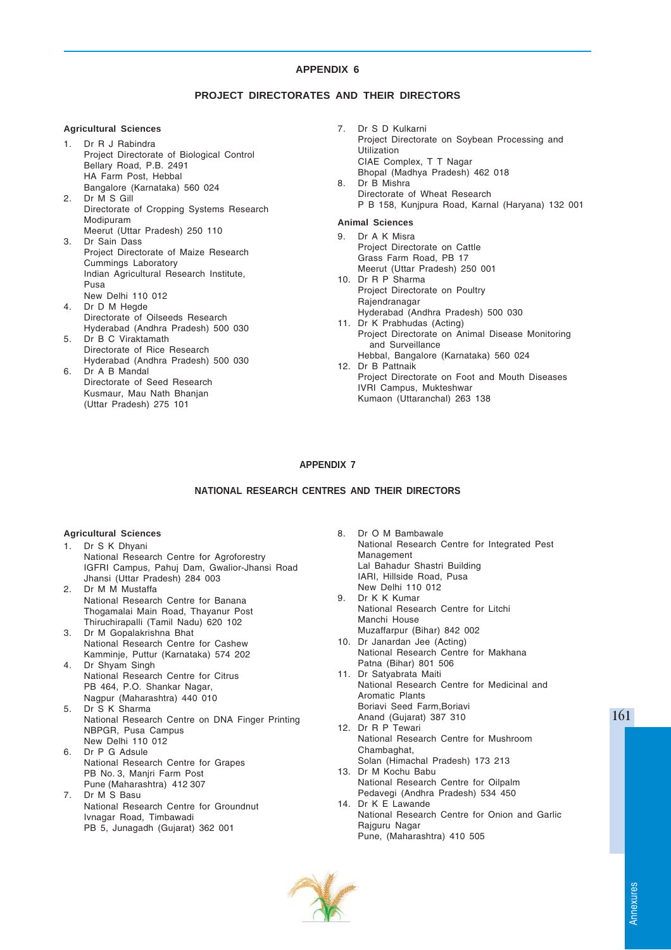# **PROJECT DIRECTORATES AND THEIR DIRECTORS**

### **Agricultural Sciences**

- 1. Dr R J Rabindra Project Directorate of Biological Control Bellary Road, P.B. 2491 HA Farm Post, Hebbal Bangalore (Karnataka) 560 024
- 2. Dr M S Gill Directorate of Cropping Systems Research Modipuram Meerut (Uttar Pradesh) 250 110
- 3. Dr Sain Dass Project Directorate of Maize Research Cummings Laboratory Indian Agricultural Research Institute, Pusa New Delhi 110 012
- 4. Dr D M Hegde Directorate of Oilseeds Research Hyderabad (Andhra Pradesh) 500 030
- 5. Dr B C Viraktamath Directorate of Rice Research Hyderabad (Andhra Pradesh) 500 030
- 6. Dr A B Mandal Directorate of Seed Research Kusmaur, Mau Nath Bhanjan (Uttar Pradesh) 275 101

7. Dr S D Kulkarni Project Directorate on Soybean Processing and Utilization CIAE Complex, T T Nagar Bhopal (Madhya Pradesh) 462 018 8. Dr B Mishra Directorate of Wheat Research P B 158, Kunjpura Road, Karnal (Haryana) 132 001

# **Animal Sciences**

- 9. Dr A K Misra Project Directorate on Cattle Grass Farm Road, PB 17 Meerut (Uttar Pradesh) 250 001
- 10. Dr R P Sharma Project Directorate on Poultry Rajendranagar Hyderabad (Andhra Pradesh) 500 030
- 11. Dr K Prabhudas (Acting) Project Directorate on Animal Disease Monitoring and Surveillance
- Hebbal, Bangalore (Karnataka) 560 024 12. Dr B Pattnaik
- Project Directorate on Foot and Mouth Diseases IVRI Campus, Mukteshwar Kumaon (Uttaranchal) 263 138

# **APPENDIX 7**

# **NATIONAL RESEARCH CENTRES AND THEIR DIRECTORS**

#### **Agricultural Sciences**

- 1. Dr S K Dhyani National Research Centre for Agroforestry IGFRI Campus, Pahuj Dam, Gwalior-Jhansi Road Jhansi (Uttar Pradesh) 284 003
- 2. Dr M M Mustaffa National Research Centre for Banana Thogamalai Main Road, Thayanur Post Thiruchirapalli (Tamil Nadu) 620 102
- 3. Dr M Gopalakrishna Bhat National Research Centre for Cashew Kamminje, Puttur (Karnataka) 574 202
- 4. Dr Shyam Singh National Research Centre for Citrus PB 464, P.O. Shankar Nagar, Nagpur (Maharashtra) 440 010
- 5. Dr S K Sharma National Research Centre on DNA Finger Printing NBPGR, Pusa Campus New Delhi 110 012
- 6. Dr P G Adsule National Research Centre for Grapes PB No. 3, Maniri Farm Post Pune (Maharashtra) 412 307
- 7. Dr M S Basu National Research Centre for Groundnut Ivnagar Road, Timbawadi PB 5, Junagadh (Gujarat) 362 001
- 8. Dr O M Bambawale National Research Centre for Integrated Pest Management Lal Bahadur Shastri Building IARI, Hillside Road, Pusa New Delhi 110 012
- 9. Dr K K Kumar National Research Centre for Litchi Manchi House Muzaffarpur (Bihar) 842 002
- 10. Dr Janardan Jee (Acting) National Research Centre for Makhana Patna (Bihar) 801 506
- 11. Dr Satyabrata Maiti National Research Centre for Medicinal and Aromatic Plants Boriavi Seed Farm,Boriavi Anand (Gujarat) 387 310
- 12. Dr R P Tewari National Research Centre for Mushroom Chambaghat,
- Solan (Himachal Pradesh) 173 213 13. Dr M Kochu Babu National Research Centre for Oilpalm Pedavegi (Andhra Pradesh) 534 450
- 14. Dr K E Lawande National Research Centre for Onion and Garlic Rajguru Nagar Pune, (Maharashtra) 410 505

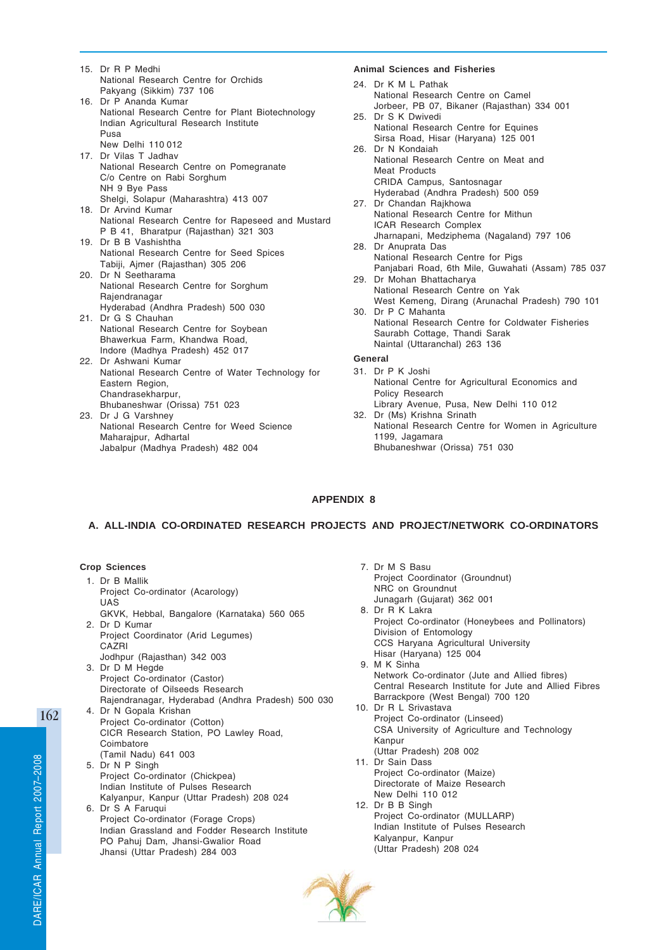- 15. Dr R P Medhi National Research Centre for Orchids Pakyang (Sikkim) 737 106
- 16. Dr P Ananda Kumar National Research Centre for Plant Biotechnology Indian Agricultural Research Institute Pusa New Delhi 110 012
- 17. Dr Vilas T Jadhav National Research Centre on Pomegranate C/o Centre on Rabi Sorghum NH 9 Bye Pass Shelgi, Solapur (Maharashtra) 413 007 18. Dr Arvind Kumar
- National Research Centre for Rapeseed and Mustard P B 41, Bharatpur (Rajasthan) 321 303
- 19. Dr B B Vashishtha National Research Centre for Seed Spices Tabiji, Ajmer (Rajasthan) 305 206
- 20. Dr N Seetharama National Research Centre for Sorghum Rajendranagar Hyderabad (Andhra Pradesh) 500 030
- 21. Dr G S Chauhan National Research Centre for Soybean Bhawerkua Farm, Khandwa Road, Indore (Madhya Pradesh) 452 017
- 22. Dr Ashwani Kumar National Research Centre of Water Technology for Eastern Region, Chandrasekharpur, Bhubaneshwar (Orissa) 751 023
- 23. Dr J G Varshney National Research Centre for Weed Science Maharajpur, Adhartal Jabalpur (Madhya Pradesh) 482 004

# **Animal Sciences and Fisheries**

- 24. Dr K M L Pathak National Research Centre on Camel Jorbeer, PB 07, Bikaner (Rajasthan) 334 001
- 25. Dr S K Dwivedi National Research Centre for Equines Sirsa Road, Hisar (Haryana) 125 001 26. Dr N Kondaiah
- National Research Centre on Meat and Meat Products CRIDA Campus, Santosnagar Hyderabad (Andhra Pradesh) 500 059
- 27. Dr Chandan Rajkhowa National Research Centre for Mithun ICAR Research Complex Jharnapani, Medziphema (Nagaland) 797 106
- 28. Dr Anuprata Das National Research Centre for Pigs Panjabari Road, 6th Mile, Guwahati (Assam) 785 037
- 29. Dr Mohan Bhattacharya National Research Centre on Yak West Kemeng, Dirang (Arunachal Pradesh) 790 101 30. Dr P C Mahanta
- National Research Centre for Coldwater Fisheries Saurabh Cottage, Thandi Sarak Naintal (Uttaranchal) 263 136

# **General**

- 31. Dr P K Joshi National Centre for Agricultural Economics and Policy Research Library Avenue, Pusa, New Delhi 110 012
- 32. Dr (Ms) Krishna Srinath National Research Centre for Women in Agriculture 1199, Jagamara Bhubaneshwar (Orissa) 751 030

# **APPENDIX 8**

# **A. ALL-INDIA CO-ORDINATED RESEARCH PROJECTS AND PROJECT/NETWORK CO-ORDINATORS**

# **Crop Sciences**

- 1. Dr B Mallik Project Co-ordinator (Acarology) UAS GKVK, Hebbal, Bangalore (Karnataka) 560 065 2. Dr D Kumar Project Coordinator (Arid Legumes) **CAZRI** Jodhpur (Rajasthan) 342 003
- 3. Dr D M Hegde Project Co-ordinator (Castor) Directorate of Oilseeds Research Rajendranagar, Hyderabad (Andhra Pradesh) 500 030 4. Dr N Gopala Krishan
- Project Co-ordinator (Cotton) CICR Research Station, PO Lawley Road, Coimbatore (Tamil Nadu) 641 003 5. Dr N P Singh Project Co-ordinator (Chickpea)
- Indian Institute of Pulses Research Kalyanpur, Kanpur (Uttar Pradesh) 208 024 6. Dr S A Faruqui Project Co-ordinator (Forage Crops)
	- Indian Grassland and Fodder Research Institute PO Pahuj Dam, Jhansi-Gwalior Road Jhansi (Uttar Pradesh) 284 003
- 7. Dr M S Basu Project Coordinator (Groundnut) NRC on Groundnut Junagarh (Gujarat) 362 001 8. Dr R K Lakra Project Co-ordinator (Honeybees and Pollinators) Division of Entomology CCS Haryana Agricultural University Hisar (Haryana) 125 004 9. M K Sinha Network Co-ordinator (Jute and Allied fibres) Central Research Institute for Jute and Allied Fibres Barrackpore (West Bengal) 700 120 10. Dr R L Srivastava Project Co-ordinator (Linseed) CSA University of Agriculture and Technology Kanpur (Uttar Pradesh) 208 002 11. Dr Sain Dass Project Co-ordinator (Maize) Directorate of Maize Research New Delhi 110 012 12. Dr B B Singh Project Co-ordinator (MULLARP) Indian Institute of Pulses Research Kalyanpur, Kanpur (Uttar Pradesh) 208 024

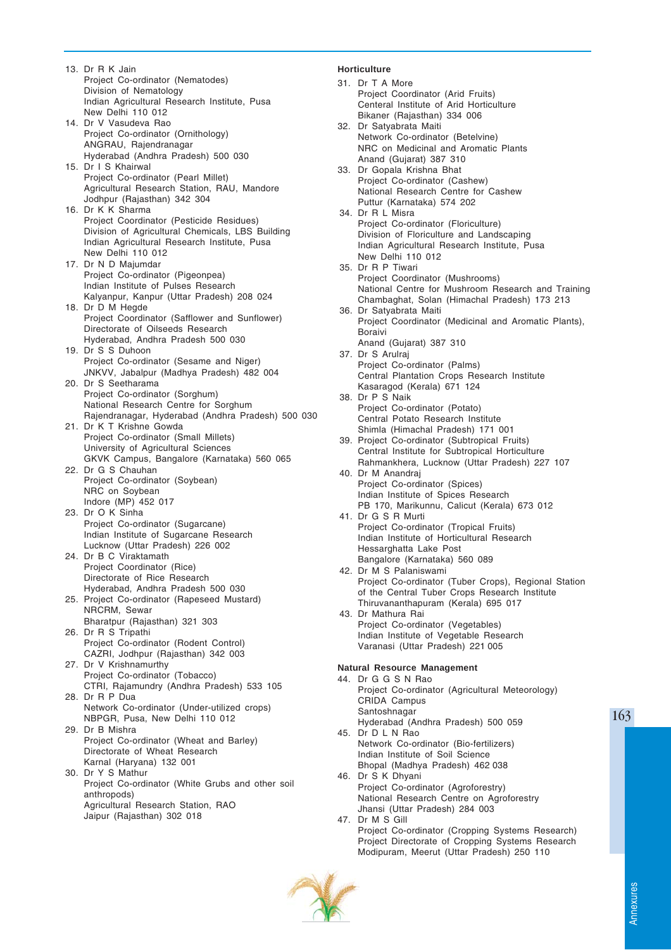13. Dr R K Jain Project Co-ordinator (Nematodes) Division of Nematology Indian Agricultural Research Institute, Pusa New Delhi 110 012 14. Dr V Vasudeva Rao Project Co-ordinator (Ornithology) ANGRAU, Rajendranagar Hyderabad (Andhra Pradesh) 500 030 15. Dr I S Khairwal Project Co-ordinator (Pearl Millet) Agricultural Research Station, RAU, Mandore Jodhpur (Rajasthan) 342 304 16. Dr K K Sharma Project Coordinator (Pesticide Residues) Division of Agricultural Chemicals, LBS Building Indian Agricultural Research Institute, Pusa New Delhi 110 012 17. Dr N D Majumdar Project Co-ordinator (Pigeonpea) Indian Institute of Pulses Research Kalyanpur, Kanpur (Uttar Pradesh) 208 024 18. Dr D M Hegde Project Coordinator (Safflower and Sunflower) Directorate of Oilseeds Research Hyderabad, Andhra Pradesh 500 030 19. Dr S S Duhoon Project Co-ordinator (Sesame and Niger) JNKVV, Jabalpur (Madhya Pradesh) 482 004 20. Dr S Seetharama Project Co-ordinator (Sorghum) National Research Centre for Sorghum Rajendranagar, Hyderabad (Andhra Pradesh) 500 030 21. Dr K T Krishne Gowda Project Co-ordinator (Small Millets) University of Agricultural Sciences GKVK Campus, Bangalore (Karnataka) 560 065 22. Dr G S Chauhan Project Co-ordinator (Soybean) NRC on Soybean Indore (MP) 452 017 23. Dr O K Sinha Project Co-ordinator (Sugarcane) Indian Institute of Sugarcane Research Lucknow (Uttar Pradesh) 226 002 24. Dr B C Viraktamath Project Coordinator (Rice) Directorate of Rice Research Hyderabad, Andhra Pradesh 500 030 25. Project Co-ordinator (Rapeseed Mustard) NRCRM, Sewar Bharatpur (Rajasthan) 321 303 26. Dr R S Tripathi Project Co-ordinator (Rodent Control) CAZRI, Jodhpur (Rajasthan) 342 003 27. Dr V Krishnamurthy Project Co-ordinator (Tobacco) CTRI, Rajamundry (Andhra Pradesh) 533 105 28. Dr R P Dua Network Co-ordinator (Under-utilized crops) NBPGR, Pusa, New Delhi 110 012 29. Dr B Mishra Project Co-ordinator (Wheat and Barley) Directorate of Wheat Research Karnal (Haryana) 132 001 30. Dr Y S Mathur Project Co-ordinator (White Grubs and other soil anthropods) Agricultural Research Station, RAO Jaipur (Rajasthan) 302 018

# **Horticulture**

31. Dr T A More Project Coordinator (Arid Fruits) Centeral Institute of Arid Horticulture Bikaner (Rajasthan) 334 006 32. Dr Satyabrata Maiti Network Co-ordinator (Betelvine) NRC on Medicinal and Aromatic Plants Anand (Gujarat) 387 310 33. Dr Gopala Krishna Bhat Project Co-ordinator (Cashew) National Research Centre for Cashew Puttur (Karnataka) 574 202 34. Dr R L Misra Project Co-ordinator (Floriculture) Division of Floriculture and Landscaping Indian Agricultural Research Institute, Pusa New Delhi 110 012 35. Dr R P Tiwari Project Coordinator (Mushrooms) National Centre for Mushroom Research and Training Chambaghat, Solan (Himachal Pradesh) 173 213 36. Dr Satyabrata Maiti Project Coordinator (Medicinal and Aromatic Plants), Boraivi Anand (Gujarat) 387 310 37. Dr S Arulraj Project Co-ordinator (Palms) Central Plantation Crops Research Institute Kasaragod (Kerala) 671 124 38. Dr P S Naik Project Co-ordinator (Potato) Central Potato Research Institute Shimla (Himachal Pradesh) 171 001 39. Project Co-ordinator (Subtropical Fruits) Central Institute for Subtropical Horticulture Rahmankhera, Lucknow (Uttar Pradesh) 227 107 40. Dr M Anandraj Project Co-ordinator (Spices) Indian Institute of Spices Research PB 170, Marikunnu, Calicut (Kerala) 673 012 41. Dr G S R Murti Project Co-ordinator (Tropical Fruits) Indian Institute of Horticultural Research Hessarghatta Lake Post Bangalore (Karnataka) 560 089 42. Dr M S Palaniswami Project Co-ordinator (Tuber Crops), Regional Station of the Central Tuber Crops Research Institute Thiruvananthapuram (Kerala) 695 017 43. Dr Mathura Rai Project Co-ordinator (Vegetables) Indian Institute of Vegetable Research Varanasi (Uttar Pradesh) 221 005 **Natural Resource Management** 44. Dr G G S N Rao Project Co-ordinator (Agricultural Meteorology) CRIDA Campus Santoshnagar Hyderabad (Andhra Pradesh) 500 059 45. Dr D L N Rao Network Co-ordinator (Bio-fertilizers) Indian Institute of Soil Science Bhopal (Madhya Pradesh) 462 038 46. Dr S K Dhyani Project Co-ordinator (Agroforestry) National Research Centre on Agroforestry Jhansi (Uttar Pradesh) 284 003 47. Dr M S Gill Project Co-ordinator (Cropping Systems Research) Project Directorate of Cropping Systems Research

Modipuram, Meerut (Uttar Pradesh) 250 110



Annexures

Annexures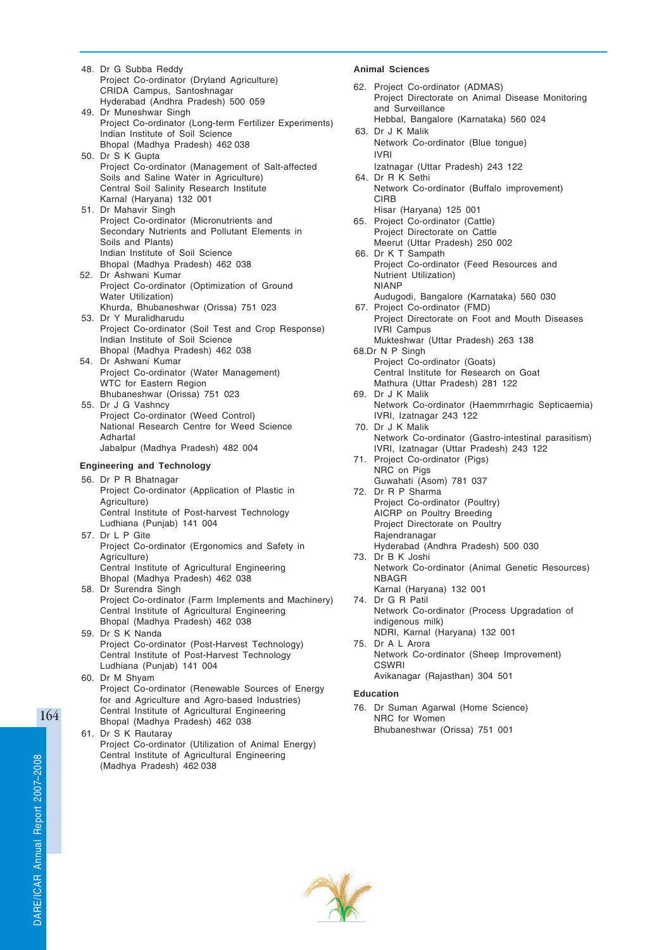- 48. Dr G Subba Reddy Project Co-ordinator (Dryland Agriculture) CRIDA Campus, Santoshnagar Hyderabad (Andhra Pradesh) 500 059 49. Dr Muneshwar Singh
- Project Co-ordinator (Long-term Fertilizer Experiments) Indian Institute of Soil Science Bhopal (Madhya Pradesh) 462 038
- 50. Dr S K Gupta Project Co-ordinator (Management of Salt-affected Soils and Saline Water in Agriculture) Central Soil Salinity Research Institute Karnal (Haryana) 132 001
- 51. Dr Mahavir Singh Project Co-ordinator (Micronutrients and Secondary Nutrients and Pollutant Elements in Soils and Plants) Indian Institute of Soil Science Bhopal (Madhya Pradesh) 462 038
- 52. Dr Ashwani Kumar Project Co-ordinator (Optimization of Ground Water Utilization) Khurda, Bhubaneshwar (Orissa) 751 023
- 53. Dr Y Muralidharudu Project Co-ordinator (Soil Test and Crop Response) Indian Institute of Soil Science Bhopal (Madhya Pradesh) 462 038
- 54. Dr Ashwani Kumar Project Co-ordinator (Water Management) WTC for Eastern Region Bhubaneshwar (Orissa) 751 023
- 55. Dr J G Vashncy Project Co-ordinator (Weed Control) National Research Centre for Weed Science Adhartal Jabalpur (Madhya Pradesh) 482 004

# **Engineering and Technology**

- 56. Dr P R Bhatnagar Project Co-ordinator (Application of Plastic in Agriculture) Central Institute of Post-harvest Technology
- Ludhiana (Punjab) 141 004 57. Dr L P Gite Project Co-ordinator (Ergonomics and Safety in Agriculture) Central Institute of Agricultural Engineering Bhopal (Madhya Pradesh) 462 038 58. Dr Surendra Singh
- Project Co-ordinator (Farm Implements and Machinery) Central Institute of Agricultural Engineering Bhopal (Madhya Pradesh) 462 038
- 59. Dr S K Nanda Project Co-ordinator (Post-Harvest Technology) Central Institute of Post-Harvest Technology Ludhiana (Punjab) 141 004
- 60. Dr M Shyam Project Co-ordinator (Renewable Sources of Energy for and Agriculture and Agro-based Industries) Central Institute of Agricultural Engineering Bhopal (Madhya Pradesh) 462 038
- 61. Dr S K Rautaray Project Co-ordinator (Utilization of Animal Energy) Central Institute of Agricultural Engineering (Madhya Pradesh) 462 038

# **Animal Sciences**

62. Project Co-ordinator (ADMAS) Project Directorate on Animal Disease Monitoring and Surveillance Hebbal, Bangalore (Karnataka) 560 024 63. Dr J K Malik Network Co-ordinator (Blue tongue) IVRI Izatnagar (Uttar Pradesh) 243 122 64. Dr R K Sethi Network Co-ordinator (Buffalo improvement) CIRB Hisar (Haryana) 125 001 65. Project Co-ordinator (Cattle) Project Directorate on Cattle Meerut (Uttar Pradesh) 250 002 66. Dr K T Sampath Project Co-ordinator (Feed Resources and Nutrient Utilization) NIANP Audugodi, Bangalore (Karnataka) 560 030 67. Project Co-ordinator (FMD) Project Directorate on Foot and Mouth Diseases IVRI Campus Mukteshwar (Uttar Pradesh) 263 138 68.Dr N P Singh Project Co-ordinator (Goats) Central Institute for Research on Goat Mathura (Uttar Pradesh) 281 122 69. Dr J K Malik Network Co-ordinator (Haemmrrhagic Septicaemia) IVRI, Izatnagar 243 122 70. Dr J K Malik Network Co-ordinator (Gastro-intestinal parasitism) IVRI, Izatnagar (Uttar Pradesh) 243 122 71. Project Co-ordinator (Pigs) NRC on Pigs Guwahati (Asom) 781 037 72. Dr R P Sharma Project Co-ordinator (Poultry) AICRP on Poultry Breeding Project Directorate on Poultry Rajendranagar Hyderabad (Andhra Pradesh) 500 030 73. Dr B K Joshi Network Co-ordinator (Animal Genetic Resources) NBAGR Karnal (Haryana) 132 001 74. Dr G R Patil Network Co-ordinator (Process Upgradation of indigenous milk) NDRI, Karnal (Haryana) 132 001 75. Dr A L Arora Network Co-ordinator (Sheep Improvement) **CSWRI** Avikanagar (Rajasthan) 304 501

# **Education**

76. Dr Suman Agarwal (Home Science) NRC for Women Bhubaneshwar (Orissa) 751 001

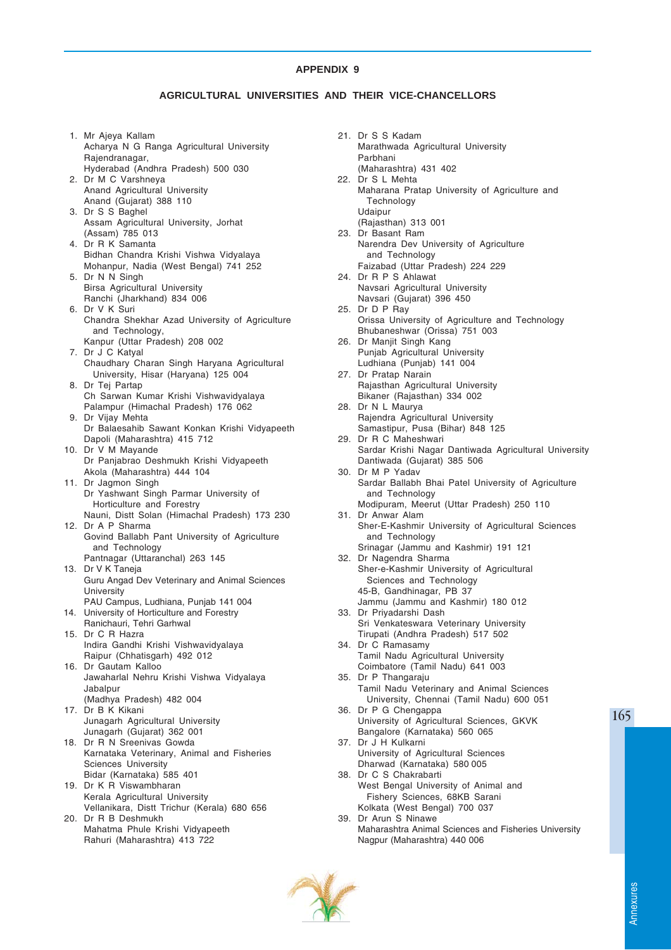# **AGRICULTURAL UNIVERSITIES AND THEIR VICE-CHANCELLORS**

- 1. Mr Ajeya Kallam Acharya N G Ranga Agricultural University Rajendranagar, Hyderabad (Andhra Pradesh) 500 030 2. Dr M C Varshneya Anand Agricultural University Anand (Gujarat) 388 110 3. Dr S S Baghel Assam Agricultural University, Jorhat (Assam) 785 013 4. Dr R K Samanta Bidhan Chandra Krishi Vishwa Vidyalaya Mohanpur, Nadia (West Bengal) 741 252 5. Dr N N Singh Birsa Agricultural University Ranchi (Jharkhand) 834 006 6. Dr V K Suri Chandra Shekhar Azad University of Agriculture and Technology, Kanpur (Uttar Pradesh) 208 002 7. Dr J C Katyal Chaudhary Charan Singh Haryana Agricultural University, Hisar (Haryana) 125 004 8. Dr Tej Partap Ch Sarwan Kumar Krishi Vishwavidyalaya Palampur (Himachal Pradesh) 176 062 9. Dr Vijay Mehta Dr Balaesahib Sawant Konkan Krishi Vidyapeeth Dapoli (Maharashtra) 415 712 10. Dr V M Mayande Dr Panjabrao Deshmukh Krishi Vidyapeeth Akola (Maharashtra) 444 104 11. Dr Jagmon Singh Dr Yashwant Singh Parmar University of Horticulture and Forestry Nauni, Distt Solan (Himachal Pradesh) 173 230 12. Dr A P Sharma Govind Ballabh Pant University of Agriculture and Technology Pantnagar (Uttaranchal) 263 145 13. Dr V K Taneja Guru Angad Dev Veterinary and Animal Sciences **University** PAU Campus, Ludhiana, Punjab 141 004 14. University of Horticulture and Forestry Ranichauri, Tehri Garhwal 15. Dr C R Hazra Indira Gandhi Krishi Vishwavidyalaya Raipur (Chhatisgarh) 492 012 16. Dr Gautam Kalloo Jawaharlal Nehru Krishi Vishwa Vidyalaya Jabalpur (Madhya Pradesh) 482 004 17. Dr B K Kikani Junagarh Agricultural University Junagarh (Gujarat) 362 001 18. Dr R N Sreenivas Gowda Karnataka Veterinary, Animal and Fisheries Sciences University Bidar (Karnataka) 585 401 19. Dr K R Viswambharan Kerala Agricultural University Vellanikara, Distt Trichur (Kerala) 680 656 20. Dr R B Deshmukh Mahatma Phule Krishi Vidyapeeth Rahuri (Maharashtra) 413 722
- 21. Dr S S Kadam Marathwada Agricultural University Parbhani (Maharashtra) 431 402 22. Dr S L Mehta Maharana Pratap University of Agriculture and Technology Udaipur (Rajasthan) 313 001 23. Dr Basant Ram Narendra Dev University of Agriculture and Technology Faizabad (Uttar Pradesh) 224 229 24. Dr R P S Ahlawat Navsari Agricultural University Navsari (Gujarat) 396 450 25. Dr D P Ray Orissa University of Agriculture and Technology Bhubaneshwar (Orissa) 751 003 26. Dr Manjit Singh Kang Punjab Agricultural University Ludhiana (Punjab) 141 004 27. Dr Pratap Narain Rajasthan Agricultural University Bikaner (Rajasthan) 334 002 28. Dr N L Maurya Rajendra Agricultural University Samastipur, Pusa (Bihar) 848 125 29. Dr R C Maheshwari Sardar Krishi Nagar Dantiwada Agricultural University Dantiwada (Gujarat) 385 506 30. Dr M P Yadav Sardar Ballabh Bhai Patel University of Agriculture and Technology Modipuram, Meerut (Uttar Pradesh) 250 110 31. Dr Anwar Alam Sher-E-Kashmir University of Agricultural Sciences and Technology Srinagar (Jammu and Kashmir) 191 121 32. Dr Nagendra Sharma Sher-e-Kashmir University of Agricultural Sciences and Technology 45-B, Gandhinagar, PB 37 Jammu (Jammu and Kashmir) 180 012 33. Dr Priyadarshi Dash Sri Venkateswara Veterinary University Tirupati (Andhra Pradesh) 517 502 34. Dr C Ramasamy Tamil Nadu Agricultural University Coimbatore (Tamil Nadu) 641 003 35. Dr P Thangaraju Tamil Nadu Veterinary and Animal Sciences University, Chennai (Tamil Nadu) 600 051 36. Dr P G Chengappa University of Agricultural Sciences, GKVK Bangalore (Karnataka) 560 065 37. Dr J H Kulkarni University of Agricultural Sciences Dharwad (Karnataka) 580 005 38. Dr C S Chakrabarti West Bengal University of Animal and Fishery Sciences, 68KB Sarani Kolkata (West Bengal) 700 037 39. Dr Arun S Ninawe Maharashtra Animal Sciences and Fisheries University Nagpur (Maharashtra) 440 006

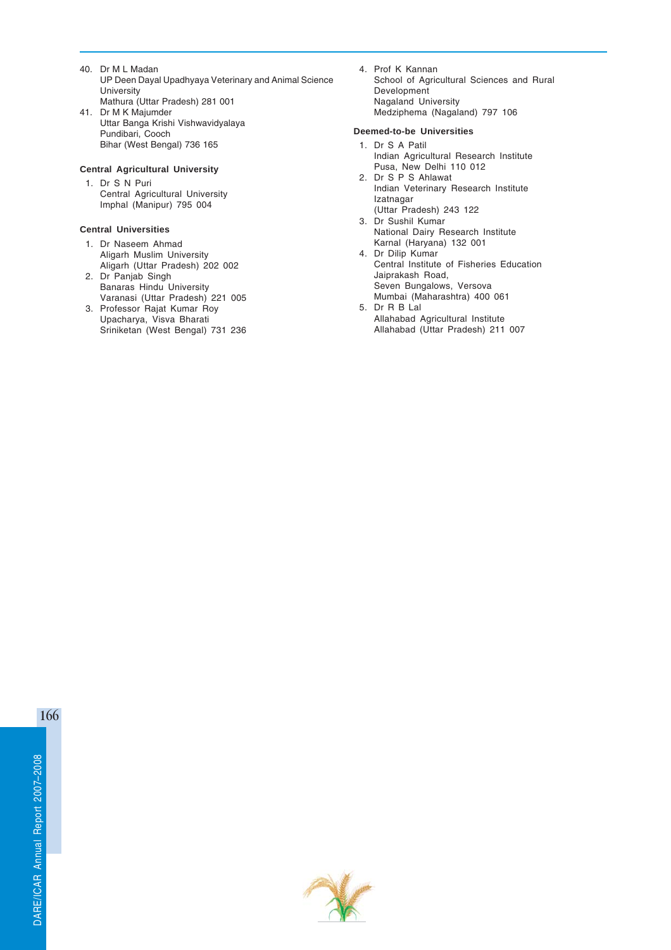- 40. Dr M L Madan UP Deen Dayal Upadhyaya Veterinary and Animal Science **University** Mathura (Uttar Pradesh) 281 001
- 41. Dr M K Majumder Uttar Banga Krishi Vishwavidyalaya Pundibari, Cooch Bihar (West Bengal) 736 165

# **Central Agricultural University**

1. Dr S N Puri Central Agricultural University Imphal (Manipur) 795 004

# **Central Universities**

- 1. Dr Naseem Ahmad Aligarh Muslim University Aligarh (Uttar Pradesh) 202 002
- 2. Dr Panjab Singh Banaras Hindu University Varanasi (Uttar Pradesh) 221 005
- 3. Professor Rajat Kumar Roy Upacharya, Visva Bharati Sriniketan (West Bengal) 731 236

4. Prof K Kannan School of Agricultural Sciences and Rural Development Nagaland University Medziphema (Nagaland) 797 106

# **Deemed-to-be Universities**

- 1. Dr S A Patil Indian Agricultural Research Institute Pusa, New Delhi 110 012 2. Dr S P S Ahlawat Indian Veterinary Research Institute Izatnagar (Uttar Pradesh) 243 122
- 3. Dr Sushil Kumar National Dairy Research Institute Karnal (Haryana) 132 001
- 4. Dr Dilip Kumar Central Institute of Fisheries Education Jaiprakash Road, Seven Bungalows, Versova Mumbai (Maharashtra) 400 061
- 5. Dr R B Lal Allahabad Agricultural Institute Allahabad (Uttar Pradesh) 211 007

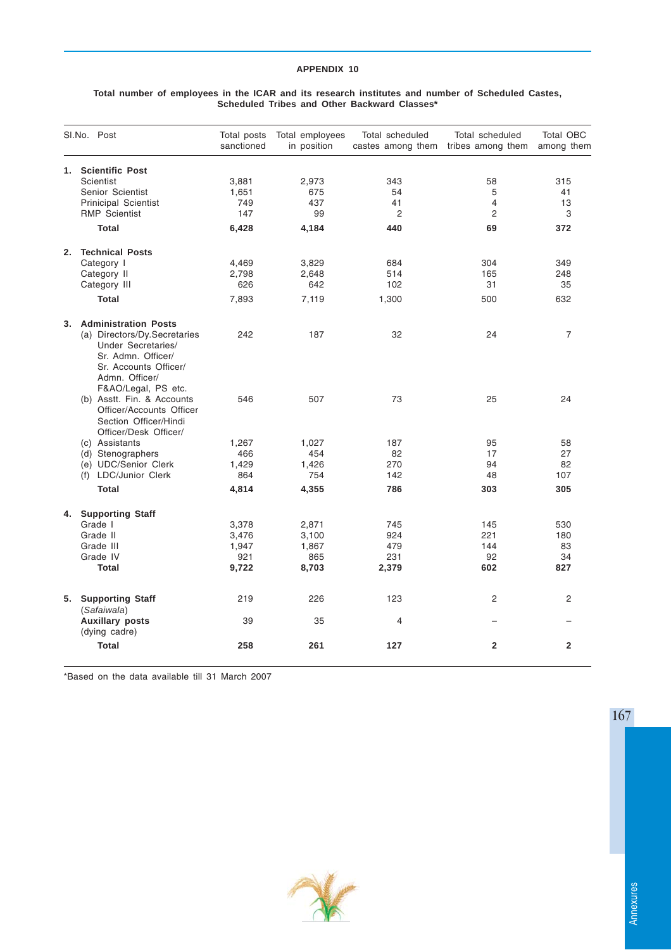#### **Total number of employees in the ICAR and its research institutes and number of Scheduled Castes, Scheduled Tribes and Other Backward Classes\***

|    | SI.No. Post                                                                                                                                                           | Total posts<br>sanctioned             | Total employees<br>in position     | Total scheduled             | Total scheduled<br>castes among them tribes among them | <b>Total OBC</b><br>among them |
|----|-----------------------------------------------------------------------------------------------------------------------------------------------------------------------|---------------------------------------|------------------------------------|-----------------------------|--------------------------------------------------------|--------------------------------|
|    | 1. Scientific Post<br>Scientist<br>Senior Scientist<br><b>Prinicipal Scientist</b><br><b>RMP</b> Scientist<br><b>Total</b>                                            | 3,881<br>1,651<br>749<br>147<br>6,428 | 2,973<br>675<br>437<br>99<br>4,184 | 343<br>54<br>41<br>2<br>440 | 58<br>5<br>$\overline{4}$<br>2<br>69                   | 315<br>41<br>13<br>3<br>372    |
|    | 2. Technical Posts<br>Category I<br>Category II<br>Category III<br><b>Total</b>                                                                                       | 4,469<br>2,798<br>626<br>7,893        | 3,829<br>2,648<br>642<br>7,119     | 684<br>514<br>102<br>1,300  | 304<br>165<br>31<br>500                                | 349<br>248<br>35<br>632        |
|    | 3. Administration Posts<br>(a) Directors/Dy.Secretaries<br>Under Secretaries/<br>Sr. Admn. Officer/<br>Sr. Accounts Officer/<br>Admn. Officer/<br>F&AO/Legal, PS etc. | 242                                   | 187                                | 32                          | 24                                                     | $\overline{7}$                 |
|    | (b) Asstt. Fin. & Accounts<br>Officer/Accounts Officer<br>Section Officer/Hindi<br>Officer/Desk Officer/                                                              | 546                                   | 507                                | 73                          | 25                                                     | 24                             |
|    | (c) Assistants<br>(d) Stenographers                                                                                                                                   | 1,267<br>466                          | 1,027<br>454                       | 187<br>82                   | 95<br>17                                               | 58<br>27                       |
|    | (e) UDC/Senior Clerk<br>(f) LDC/Junior Clerk                                                                                                                          | 1,429<br>864                          | 1,426<br>754                       | 270<br>142                  | 94<br>48                                               | 82<br>107                      |
|    | <b>Total</b>                                                                                                                                                          | 4,814                                 | 4,355                              | 786                         | 303                                                    | 305                            |
| 4. | <b>Supporting Staff</b>                                                                                                                                               |                                       |                                    |                             |                                                        |                                |
|    | Grade I                                                                                                                                                               | 3,378                                 | 2,871                              | 745                         | 145                                                    | 530                            |
|    | Grade II<br>Grade III                                                                                                                                                 | 3,476<br>1,947                        | 3,100                              | 924<br>479                  | 221<br>144                                             | 180<br>83                      |
|    | Grade IV                                                                                                                                                              | 921                                   | 1,867<br>865                       | 231                         | 92                                                     | 34                             |
|    | <b>Total</b>                                                                                                                                                          | 9,722                                 | 8,703                              | 2,379                       | 602                                                    | 827                            |
| 5. | <b>Supporting Staff</b><br>(Safaiwala)                                                                                                                                | 219                                   | 226                                | 123                         | $\overline{2}$                                         | $\overline{2}$                 |
|    | <b>Auxillary posts</b><br>(dying cadre)                                                                                                                               | 39                                    | 35                                 | 4                           |                                                        |                                |
|    | <b>Total</b>                                                                                                                                                          | 258                                   | 261                                | 127                         | $\overline{2}$                                         | $\overline{2}$                 |

\*Based on the data available till 31 March 2007



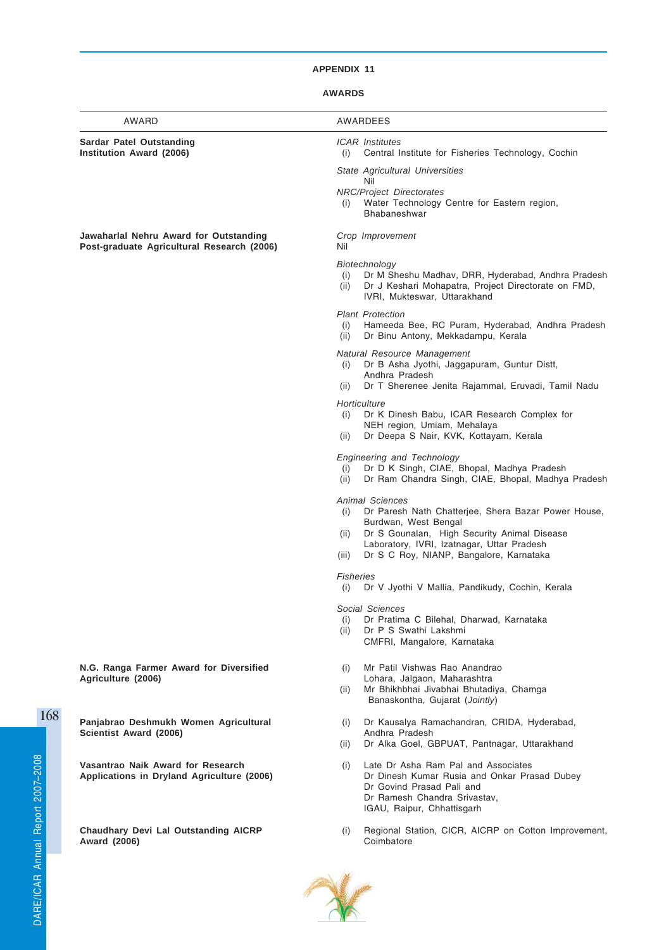# **AWARDS**

| AWARD                                                                                | <b>AWARDEES</b>                                                                                                                                                                                                                                                       |
|--------------------------------------------------------------------------------------|-----------------------------------------------------------------------------------------------------------------------------------------------------------------------------------------------------------------------------------------------------------------------|
| Sardar Patel Outstanding<br>Institution Award (2006)                                 | <b>ICAR</b> Institutes<br>(i)<br>Central Institute for Fisheries Technology, Cochin                                                                                                                                                                                   |
|                                                                                      | State Agricultural Universities                                                                                                                                                                                                                                       |
|                                                                                      | Nil<br><b>NRC/Project Directorates</b><br>Water Technology Centre for Eastern region,<br>(i)<br>Bhabaneshwar                                                                                                                                                          |
| Jawaharlal Nehru Award for Outstanding<br>Post-graduate Agricultural Research (2006) | Crop Improvement<br>Nil                                                                                                                                                                                                                                               |
|                                                                                      | Biotechnology<br>Dr M Sheshu Madhav, DRR, Hyderabad, Andhra Pradesh<br>(i)<br>Dr J Keshari Mohapatra, Project Directorate on FMD,<br>(ii)<br>IVRI, Mukteswar, Uttarakhand                                                                                             |
|                                                                                      | <b>Plant Protection</b><br>Hameeda Bee, RC Puram, Hyderabad, Andhra Pradesh<br>(i)<br>Dr Binu Antony, Mekkadampu, Kerala<br>(ii)                                                                                                                                      |
|                                                                                      | Natural Resource Management<br>Dr B Asha Jyothi, Jaggapuram, Guntur Distt,<br>(i)<br>Andhra Pradesh<br>Dr T Sherenee Jenita Rajammal, Eruvadi, Tamil Nadu<br>(ii)                                                                                                     |
|                                                                                      | Horticulture<br>Dr K Dinesh Babu, ICAR Research Complex for<br>(i)<br>NEH region, Umiam, Mehalaya<br>Dr Deepa S Nair, KVK, Kottayam, Kerala<br>(ii)                                                                                                                   |
|                                                                                      | <b>Engineering and Technology</b><br>Dr D K Singh, CIAE, Bhopal, Madhya Pradesh<br>(i)<br>Dr Ram Chandra Singh, CIAE, Bhopal, Madhya Pradesh<br>(ii)                                                                                                                  |
|                                                                                      | <b>Animal Sciences</b><br>Dr Paresh Nath Chatterjee, Shera Bazar Power House,<br>(i)<br>Burdwan, West Bengal<br>Dr S Gounalan, High Security Animal Disease<br>(ii)<br>Laboratory, IVRI, Izatnagar, Uttar Pradesh<br>Dr S C Roy, NIANP, Bangalore, Karnataka<br>(iii) |
|                                                                                      | <b>Fisheries</b><br>(i)<br>Dr V Jyothi V Mallia, Pandikudy, Cochin, Kerala                                                                                                                                                                                            |
|                                                                                      | Social Sciences<br>Dr Pratima C Bilehal, Dharwad, Karnataka<br>(i)<br>Dr P S Swathi Lakshmi<br>(ii)<br>CMFRI, Mangalore, Karnataka                                                                                                                                    |
| N.G. Ranga Farmer Award for Diversified                                              | Mr Patil Vishwas Rao Anandrao<br>(i)                                                                                                                                                                                                                                  |
| Agriculture (2006)                                                                   | Lohara, Jalgaon, Maharashtra<br>Mr Bhikhbhai Jivabhai Bhutadiya, Chamga<br>(ii)<br>Banaskontha, Gujarat (Jointly)                                                                                                                                                     |
| Panjabrao Deshmukh Women Agricultural<br>Scientist Award (2006)                      | Dr Kausalya Ramachandran, CRIDA, Hyderabad,<br>(i)<br>Andhra Pradesh                                                                                                                                                                                                  |
|                                                                                      | Dr Alka Goel, GBPUAT, Pantnagar, Uttarakhand<br>(ii)                                                                                                                                                                                                                  |
| Vasantrao Naik Award for Research<br>Applications in Dryland Agriculture (2006)      | Late Dr Asha Ram Pal and Associates<br>(i)<br>Dr Dinesh Kumar Rusia and Onkar Prasad Dubey<br>Dr Govind Prasad Pali and<br>Dr Ramesh Chandra Srivastav,<br>IGAU, Raipur, Chhattisgarh                                                                                 |
| <b>Chaudhary Devi Lal Outstanding AICRP</b><br>Award (2006)                          | Regional Station, CICR, AICRP on Cotton Improvement,<br>(i)<br>Coimbatore                                                                                                                                                                                             |
|                                                                                      |                                                                                                                                                                                                                                                                       |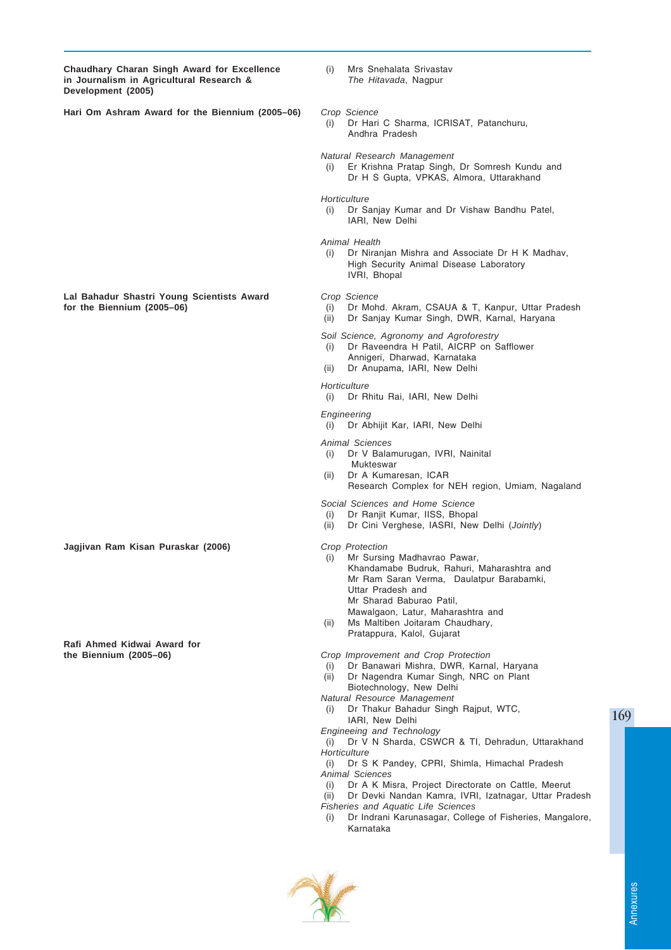**Chaudhary Charan Singh Award for Excellence** (i) Mrs Snehalata Srivastav<br>
in Journalism in Agricultural Research & The Hitavada. Nagpur in Journalism in Agricultural Research & **Development (2005)**

- 
- **Hari Om Ashram Award for the Biennium (2005–06)** *Crop Science*

(i) Dr Hari C Sharma, ICRISAT, Patanchuru, Andhra Pradesh

*Natural Research Management*

(i) Er Krishna Pratap Singh, Dr Somresh Kundu and Dr H S Gupta, VPKAS, Almora, Uttarakhand

*Horticulture*

(i) Dr Sanjay Kumar and Dr Vishaw Bandhu Patel, IARI, New Delhi

*Animal Health*

(i) Dr Niranjan Mishra and Associate Dr H K Madhav, High Security Animal Disease Laboratory IVRI, Bhopal

- **for the Biennium (2005–06)** (i) Dr Mohd. Akram, CSAUA & T, Kanpur, Uttar Pradesh
- (ii) Dr Sanjay Kumar Singh, DWR, Karnal, Haryana
- *Soil Science, Agronomy and Agroforestry*
- (i) Dr Raveendra H Patil, AICRP on Safflower
- Annigeri, Dharwad, Karnataka
- (ii) Dr Anupama, IARI, New Delhi

#### *Horticulture*

(i) Dr Rhitu Rai, IARI, New Delhi

*Engineering*

(i) Dr Abhijit Kar, IARI, New Delhi

#### *Animal Sciences*

- (i) Dr V Balamurugan, IVRI, Nainital Mukteswar
- (ii) Dr A Kumaresan, ICAR Research Complex for NEH region, Umiam, Nagaland

*Social Sciences and Home Science*

- (i) Dr Ranjit Kumar, IISS, Bhopal
- (ii) Dr Cini Verghese, IASRI, New Delhi (*Jointly*)
- 
- (i) Mr Sursing Madhavrao Pawar, Khandamabe Budruk, Rahuri, Maharashtra and Mr Ram Saran Verma, Daulatpur Barabamki, Uttar Pradesh and Mr Sharad Baburao Patil, Mawalgaon, Latur, Maharashtra and
- (ii) Ms Maltiben Joitaram Chaudhary,
	- Pratappura, Kalol, Gujarat

**the Biennium (2005–06)** *Crop Improvement and Crop Protection*

- (i) Dr Banawari Mishra, DWR, Karnal, Haryana
- (ii) Dr Nagendra Kumar Singh, NRC on Plant Biotechnology, New Delhi
- *Natural Resource Management*
- (i) Dr Thakur Bahadur Singh Rajput, WTC, IARI, New Delhi

*Engineeing and Technology*

- (i) Dr V N Sharda, CSWCR & TI, Dehradun, Uttarakhand *Horticulture*
- (i) Dr S K Pandey, CPRI, Shimla, Himachal Pradesh *Animal Sciences*
- (i) Dr A K Misra, Project Directorate on Cattle, Meerut (ii) Dr Devki Nandan Kamra, IVRI, Izatnagar, Uttar Pradesh *Fisheries and Aquatic Life Sciences*
- (i) Dr Indrani Karunasagar, College of Fisheries, Mangalore, Karnataka



169

**Lal Bahadur Shastri Young Scientists Award** *Crop Science*

**Jagjivan Ram Kisan Puraskar (2006)** *Crop Protection*

**Rafi Ahmed Kidwai Award for**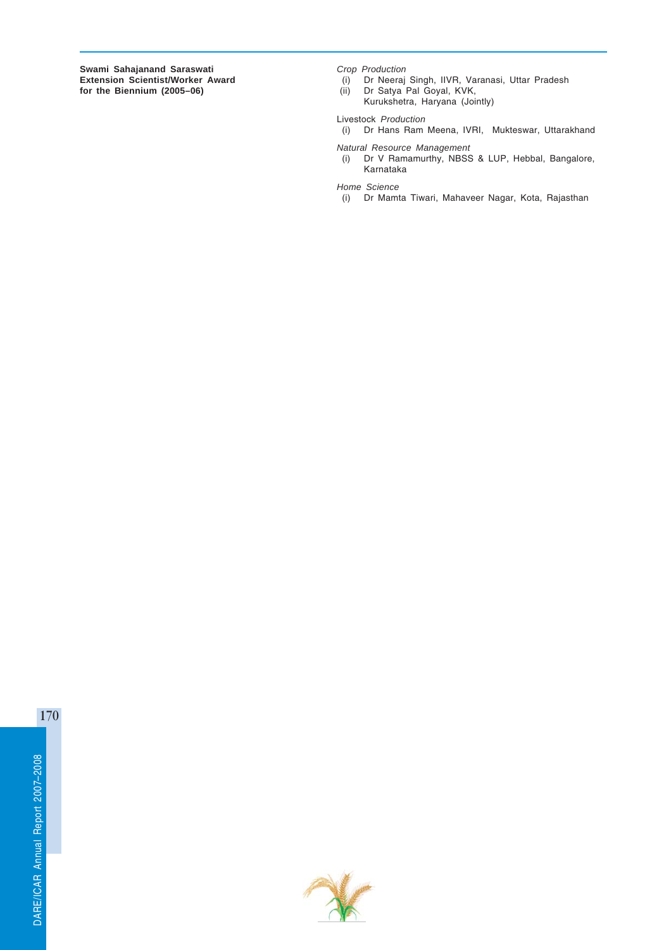**Swami Sahajanand Saraswati** *Crop Production* **for the Biennium (2005–06)** (ii)  $(ii)$ 

- **(i)** Dr Neeraj Singh, IIVR, Varanasi, Uttar Pradesh<br>(ii) Dr Satya Pal Goyal, KVK,
- - Kurukshetra, Haryana (Jointly)

Livestock *Production*

(i) Dr Hans Ram Meena, IVRI, Mukteswar, Uttarakhand

*Natural Resource Management* Dr V Ramamurthy, NBSS & LUP, Hebbal, Bangalore, Karnataka

*Home Science*

(i) Dr Mamta Tiwari, Mahaveer Nagar, Kota, Rajasthan